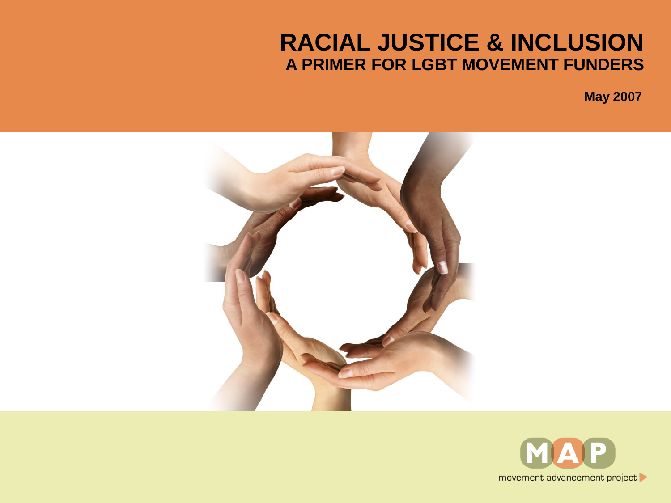#### **RACIAL JUSTICE & INCLUSION A PRIMER FOR LGBT MOVEMENT FUNDERS**



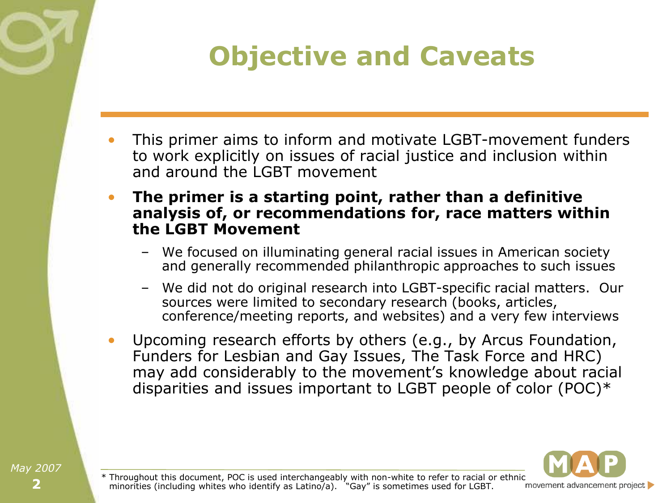### **Objective and Caveats**

- This primer aims to inform and motivate LGBT-movement funders to work explicitly on issues of racial justice and inclusion within and around the LGBT movement
- **The primer is a starting point, rather than a definitive analysis of, or recommendations for, race matters within the LGBT Movement**
	- We focused on illuminating general racial issues in American society and generally recommended philanthropic approaches to such issues
	- We did not do original research into LGBT-specific racial matters. Our sources were limited to secondary research (books, articles, conference/meeting reports, and websites) and a very few interviews
- Upcoming research efforts by others (e.g., by Arcus Foundation, Funders for Lesbian and Gay Issues, The Task Force and HRC) may add considerably to the movement's knowledge about racial disparities and issues important to LGBT people of color (POC)\*



\* Throughout this document, POC is used interchangeably with non-white to refer to racial or ethnic<br>minorities (including whites who identify as Latino/a). "Gay" is sometimes used for LGBT. movement advancement project minorities (including whites who identify as Latino/a).  $\sqrt{Gay''}$  is sometimes used for LGBT.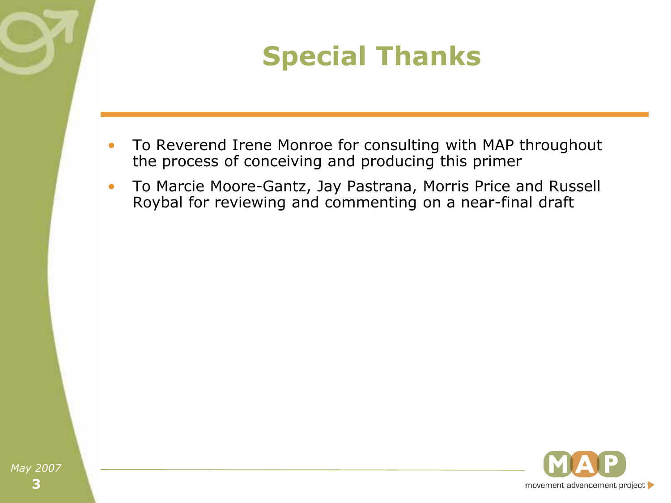## **Special Thanks**

- To Reverend Irene Monroe for consulting with MAP throughout the process of conceiving and producing this primer
- To Marcie Moore-Gantz, Jay Pastrana, Morris Price and Russell Roybal for reviewing and commenting on a near-final draft

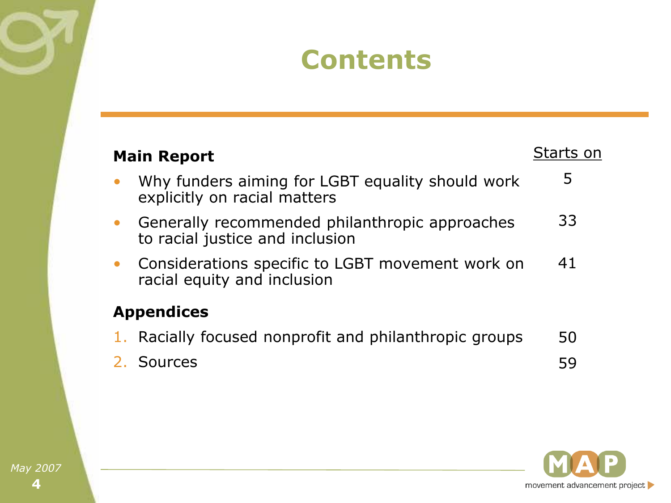#### **Contents**

| <b>Main Report</b>                                                                | Starts on |
|-----------------------------------------------------------------------------------|-----------|
| Why funders aiming for LGBT equality should work<br>explicitly on racial matters  | 5         |
| Generally recommended philanthropic approaches<br>to racial justice and inclusion | 33        |
| Considerations specific to LGBT movement work on<br>racial equity and inclusion   | 41        |
| <b>Appendices</b>                                                                 |           |
| Racially focused nonprofit and philanthropic groups                               | 50        |
| 2. Sources                                                                        | 59        |

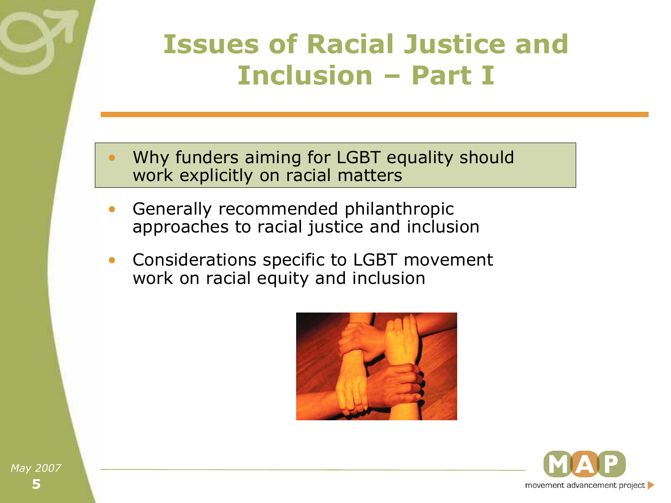#### **Issues of Racial Justice and Inclusion – Part I**

- Why funders aiming for LGBT equality should work explicitly on racial matters
- Generally recommended philanthropic approaches to racial justice and inclusion
- Considerations specific to LGBT movement work on racial equity and inclusion



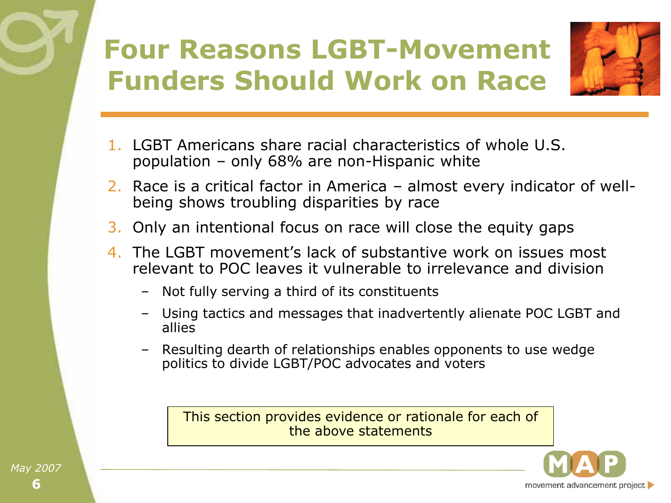# **Four Reasons LGBT-Movement Funders Should Work on Race**



- 1. LGBT Americans share racial characteristics of whole U.S. population – only 68% are non-Hispanic white
- 2. Race is a critical factor in America almost every indicator of wellbeing shows troubling disparities by race
- 3. Only an intentional focus on race will close the equity gaps
- 4. The LGBT movement's lack of substantive work on issues most relevant to POC leaves it vulnerable to irrelevance and division
	- Not fully serving a third of its constituents
	- Using tactics and messages that inadvertently alienate POC LGBT and allies
	- Resulting dearth of relationships enables opponents to use wedge politics to divide LGBT/POC advocates and voters

This section provides evidence or rationale for each of the above statements

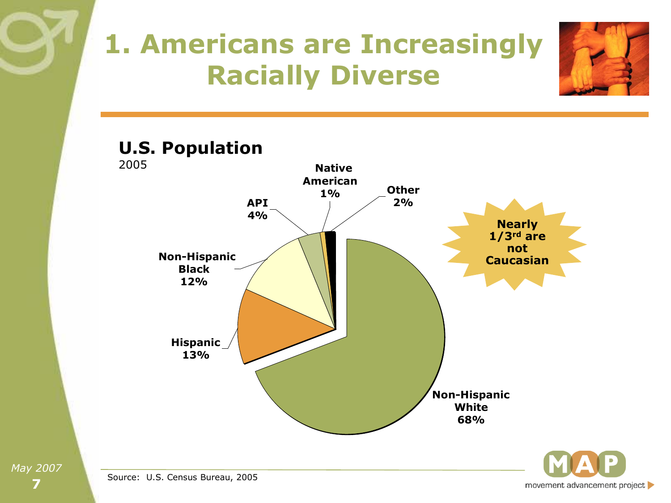## **1. Americans are Increasingly Racially Diverse**



**Non-Hispanic White 68% API 4% Non-Hispanic Black 12% Other 2% Native American 1% Hispanic 13% U.S. Population** 2005 **Nearly 1/3rd are not Caucasian**



Source: U.S. Census Bureau, 2005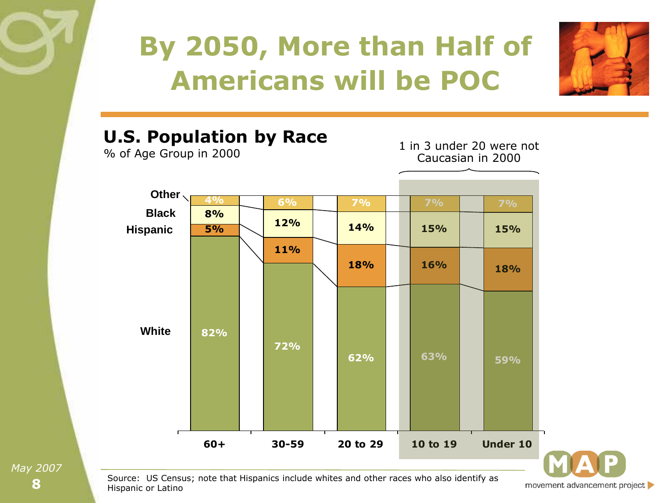



#### **62% 63% 59% 72% 82% 18% 16% 18% 11% 5% 14% 15% 15% 12% 8% 4% 6% 7% 7% 7% 60+ 30-59 20 to 29 10 to 19 Under 10 White Other Black Hispanic U.S. Population by Race** 1 in 3 under 20 were not Caucasian in 2000

% of Age Group in 2000

**8** *May 2007*

Source: US Census; note that Hispanics include whites and other races who also identify as Hispanic or Latino

movement advancement project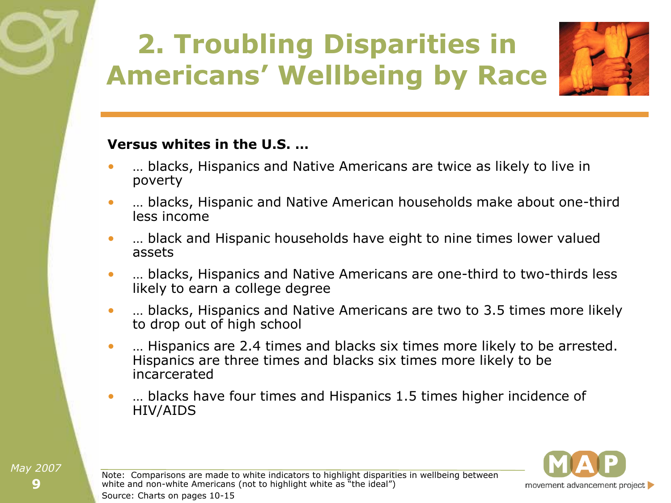# **2. Troubling Disparities in Americans' Wellbeing by Race**



#### **Versus whites in the U.S. …**

- … blacks, Hispanics and Native Americans are twice as likely to live in poverty
- … blacks, Hispanic and Native American households make about one-third less income
- … black and Hispanic households have eight to nine times lower valued assets
- **I. blacks, Hispanics and Native Americans are one-third to two-thirds less** likely to earn a college degree
- **I. blacks, Hispanics and Native Americans are two to 3.5 times more likely** to drop out of high school
- … Hispanics are 2.4 times and blacks six times more likely to be arrested. Hispanics are three times and blacks six times more likely to be incarcerated
- ... blacks have four times and Hispanics 1.5 times higher incidence of HIV/AIDS



Note: Comparisons are made to white indicators to highlight disparities in wellbeing between white and non-white Americans (not to highlight white as "the ideal") Source: Charts on pages 10-15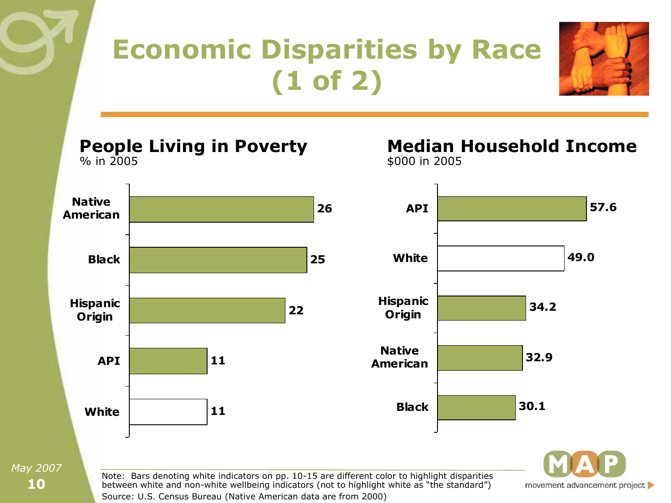# **Economic Disparities by Race (1 of 2)**



**People Living in Poverty** % in 2005

**Median Household Income** \$000 in 2005



**10**

*May 2007*



movement advancement project

Note: Bars denoting white indicators on pp. 10-15 are different color to highlight disparities between white and non-white wellbeing indicators (not to highlight white as "the standard") Source: U.S. Census Bureau (Native American data are from 2000)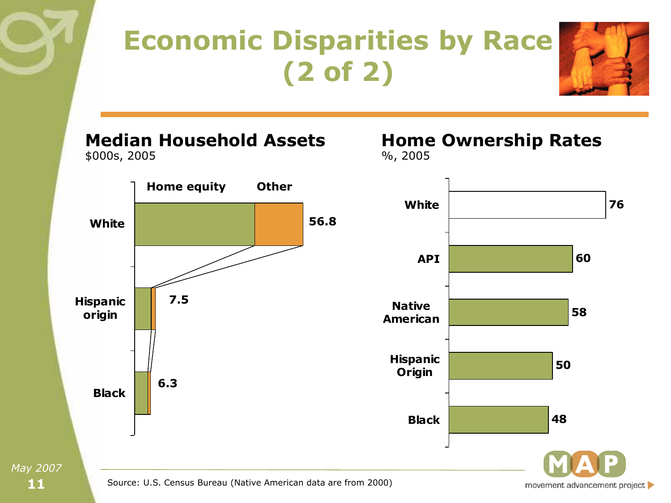# **Economic Disparities by Race (2 of 2)**



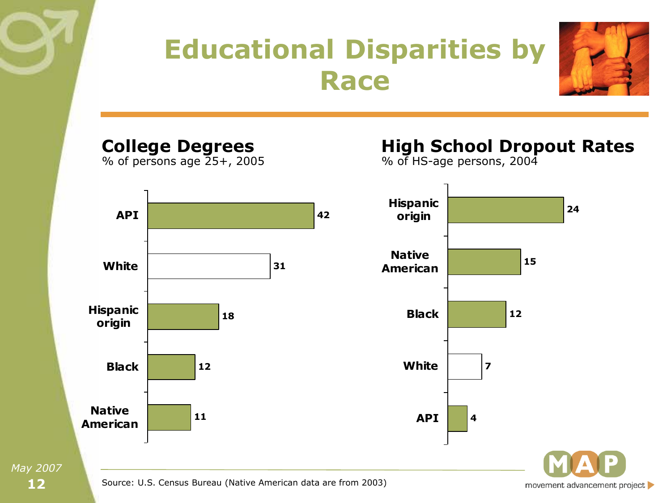

movement advancement project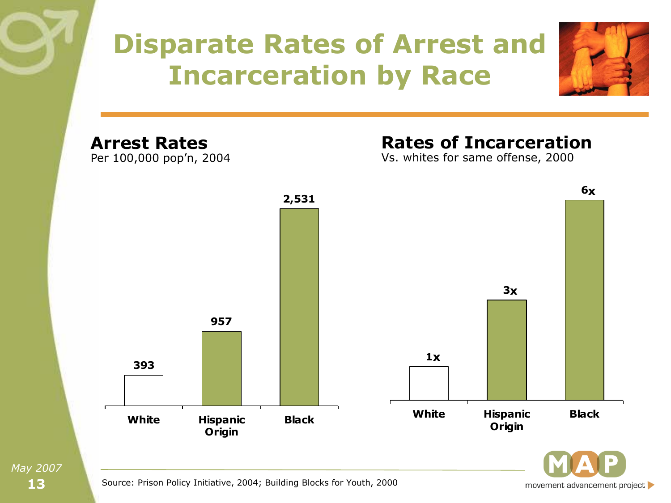### **Disparate Rates of Arrest and Incarceration by Race**



**Arrest Rates** Per 100,000 pop'n, 2004

#### **Rates of Incarceration**

Vs. whites for same offense, 2000



**13** *May 2007*

movement advancement project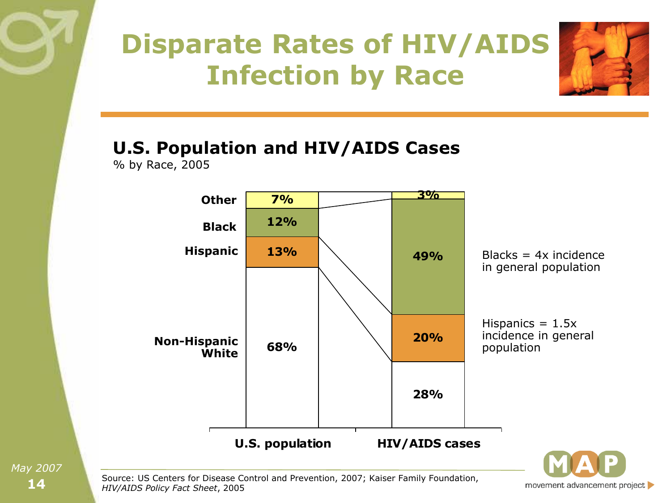# **Disparate Rates of HIV/AIDS Infection by Race**



#### **U.S. Population and HIV/AIDS Cases**

% by Race, 2005



**14** *May 2007*

Source: US Centers for Disease Control and Prevention, 2007; Kaiser Family Foundation, *HIV/AIDS Policy Fact Sheet*, 2005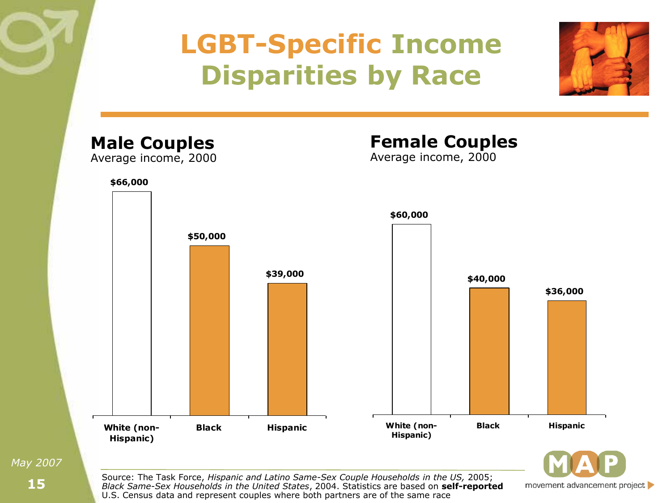## **LGBT-Specific Income Disparities by Race**





movement advancement project

Source: The Task Force, *Hispanic and Latino Same-Sex Couple Households in the US,* 2005; *Black Same-Sex Households in the United States*, 2004. Statistics are based on **self-reported**  U.S. Census data and represent couples where both partners are of the same race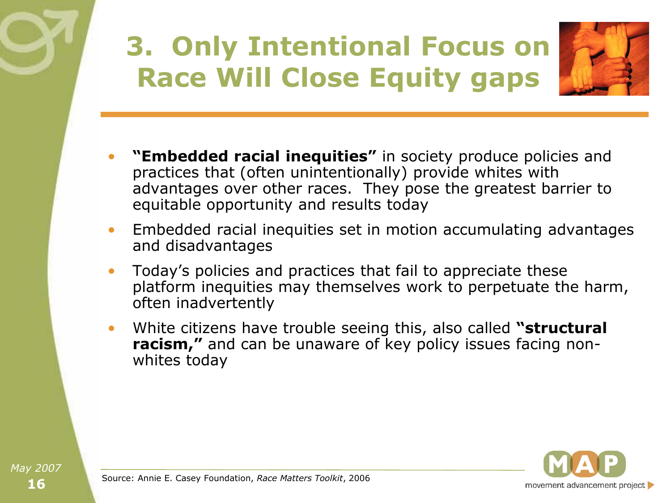# **3. Only Intentional Focus on Race Will Close Equity gaps**



- **"Embedded racial inequities"** in society produce policies and practices that (often unintentionally) provide whites with advantages over other races. They pose the greatest barrier to equitable opportunity and results today
- Embedded racial inequities set in motion accumulating advantages and disadvantages
- Today's policies and practices that fail to appreciate these platform inequities may themselves work to perpetuate the harm, often inadvertently
- White citizens have trouble seeing this, also called **"structural racism,"** and can be unaware of key policy issues facing nonwhites today

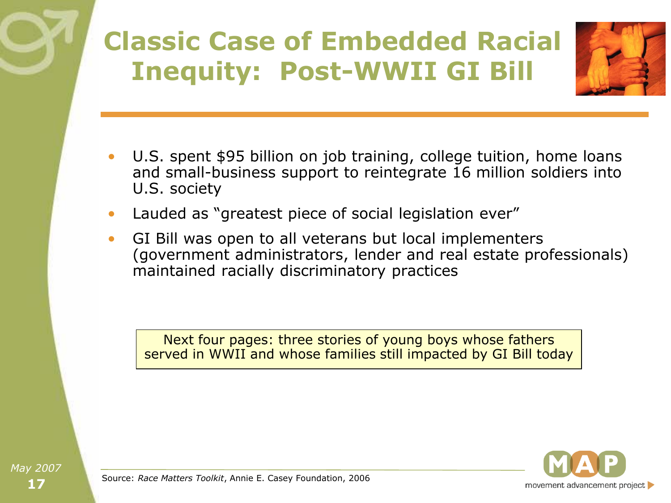#### **Classic Case of Embedded Racial Inequity: Post-WWII GI Bill**



- U.S. spent \$95 billion on job training, college tuition, home loans and small-business support to reintegrate 16 million soldiers into U.S. society
- Lauded as "greatest piece of social legislation ever"
- GI Bill was open to all veterans but local implementers (government administrators, lender and real estate professionals) maintained racially discriminatory practices

Next four pages: three stories of young boys whose fathers served in WWII and whose families still impacted by GI Bill today



Source: *Race Matters Toolkit*, Annie E. Casey Foundation, 2006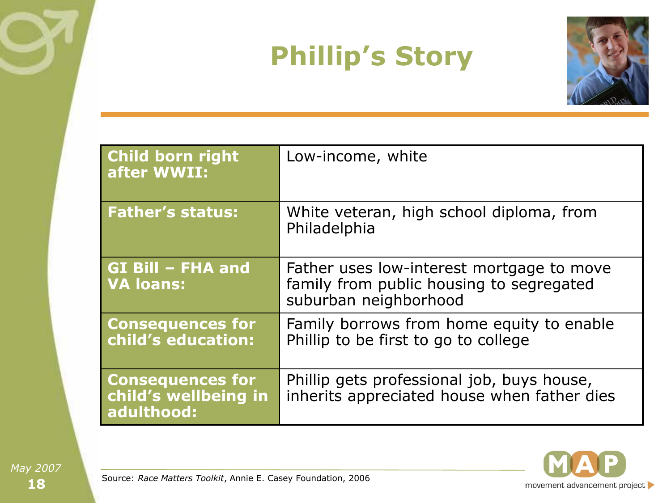# **Phillip's Story**



| <b>Child born right</b><br>after WWII:                        | Low-income, white                                                                                              |
|---------------------------------------------------------------|----------------------------------------------------------------------------------------------------------------|
| <b>Father's status:</b>                                       | White veteran, high school diploma, from<br>Philadelphia                                                       |
| <b>GI Bill - FHA and</b><br><b>VA loans:</b>                  | Father uses low-interest mortgage to move<br>family from public housing to segregated<br>suburban neighborhood |
| <b>Consequences for</b><br>child's education:                 | Family borrows from home equity to enable<br>Phillip to be first to go to college                              |
| <b>Consequences for</b><br>child's wellbeing in<br>adulthood: | Phillip gets professional job, buys house,<br>inherits appreciated house when father dies                      |

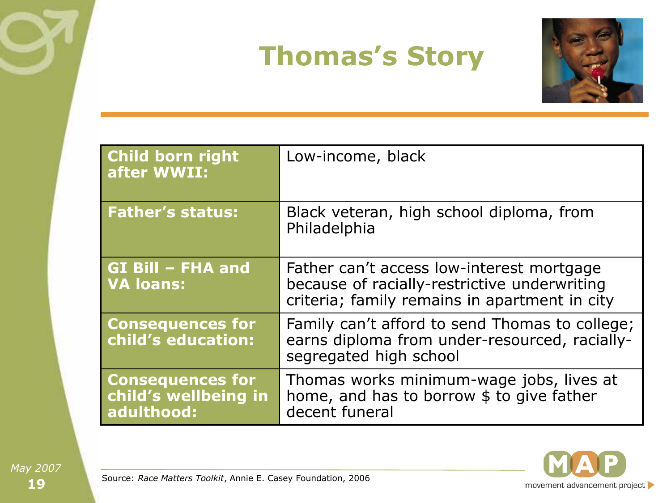#### **Thomas's Story**



| <b>Child born right</b><br>after WWII:                        | Low-income, black                                                                                                                          |
|---------------------------------------------------------------|--------------------------------------------------------------------------------------------------------------------------------------------|
| <b>Father's status:</b>                                       | Black veteran, high school diploma, from<br>Philadelphia                                                                                   |
| <b>GI Bill - FHA and</b><br><b>VA loans:</b>                  | Father can't access low-interest mortgage<br>because of racially-restrictive underwriting<br>criteria; family remains in apartment in city |
| <b>Consequences for</b><br>child's education:                 | Family can't afford to send Thomas to college;<br>earns diploma from under-resourced, racially-<br>segregated high school                  |
| <b>Consequences for</b><br>child's wellbeing in<br>adulthood: | Thomas works minimum-wage jobs, lives at<br>home, and has to borrow \$ to give father<br>decent funeral                                    |



Source: *Race Matters Toolkit*, Annie E. Casey Foundation, 2006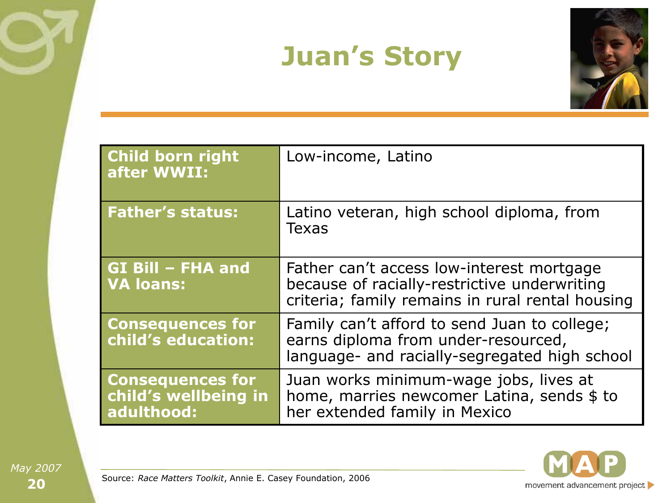#### **Juan's Story**



| <b>Child born right</b><br>after WWII:                        | Low-income, Latino                                                                                                                            |
|---------------------------------------------------------------|-----------------------------------------------------------------------------------------------------------------------------------------------|
| <b>Father's status:</b>                                       | Latino veteran, high school diploma, from<br><b>Texas</b>                                                                                     |
| GI Bill - FHA and<br><b>VA loans:</b>                         | Father can't access low-interest mortgage<br>because of racially-restrictive underwriting<br>criteria; family remains in rural rental housing |
| <b>Consequences for</b><br>child's education:                 | Family can't afford to send Juan to college;<br>earns diploma from under-resourced,<br>language- and racially-segregated high school          |
| <b>Consequences for</b><br>child's wellbeing in<br>adulthood: | Juan works minimum-wage jobs, lives at<br>home, marries newcomer Latina, sends \$ to<br>her extended family in Mexico                         |

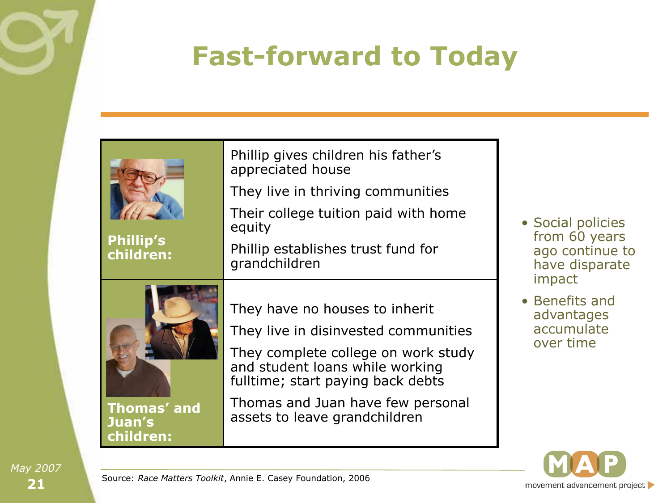## **Fast-forward to Today**

| <b>Phillip's</b><br>children:             | Phillip gives children his father's<br>appreciated house<br>They live in thriving communities<br>Their college tuition paid with home<br>equity<br>Phillip establishes trust fund for<br>grandchildren                                                      | a<br>ÌI           |
|-------------------------------------------|-------------------------------------------------------------------------------------------------------------------------------------------------------------------------------------------------------------------------------------------------------------|-------------------|
| Thomas' and<br><b>Juan's</b><br>children: | They have no houses to inherit<br>They live in disinvested communities<br>They complete college on work study<br>and student loans while working<br>fulltime; start paying back debts<br>Thomas and Juan have few personal<br>assets to leave grandchildren | ΣE<br>a<br>a<br>C |

- Social policies from 60 years ago continue to have disparate mpact
- Benefits and advantages accumulate over time

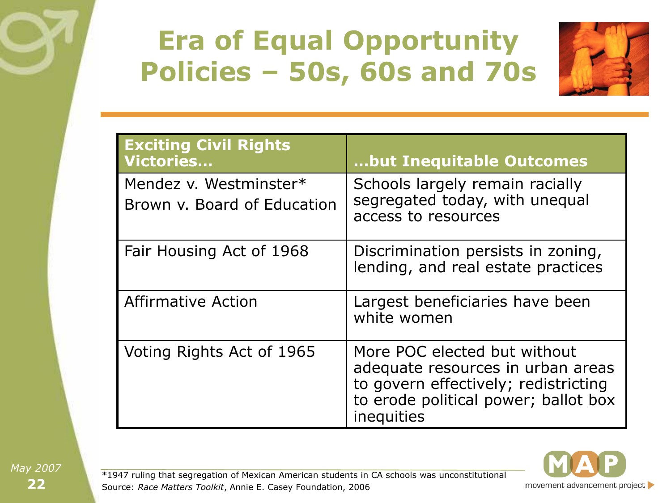### **Era of Equal Opportunity Policies – 50s, 60s and 70s**



| <b>Exciting Civil Rights</b><br><b>Victories</b>      | but Inequitable Outcomes                                                                                                                                        |
|-------------------------------------------------------|-----------------------------------------------------------------------------------------------------------------------------------------------------------------|
| Mendez v. Westminster*<br>Brown y. Board of Education | Schools largely remain racially<br>segregated today, with unequal<br>access to resources                                                                        |
| Fair Housing Act of 1968                              | Discrimination persists in zoning,<br>lending, and real estate practices                                                                                        |
| <b>Affirmative Action</b>                             | Largest beneficiaries have been<br>white women                                                                                                                  |
| Voting Rights Act of 1965                             | More POC elected but without<br>adequate resources in urban areas<br>to govern effectively; redistricting<br>to erode political power; ballot box<br>inequities |



\*1947 ruling that segregation of Mexican American students in CA schools was unconstitutional Source: *Race Matters Toolkit*, Annie E. Casey Foundation, 2006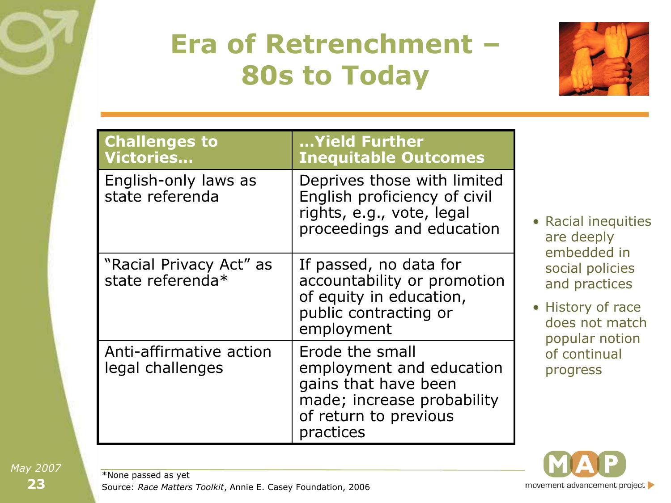# **Era of Retrenchment – 80s to Today**



| <b>Challenges to</b><br>Victories           | Yield Further<br><b>Inequitable Outcomes</b>                                                                                            |
|---------------------------------------------|-----------------------------------------------------------------------------------------------------------------------------------------|
| English-only laws as<br>state referenda     | Deprives those with limited<br>English proficiency of civil<br>rights, e.g., vote, legal<br>proceedings and education                   |
| "Racial Privacy Act" as<br>state referenda* | If passed, no data for<br>accountability or promotion<br>of equity in education,<br>public contracting or<br>employment                 |
| Anti-affirmative action<br>legal challenges | Erode the small<br>employment and education<br>gains that have been<br>made; increase probability<br>of return to previous<br>practices |



story of race es not match pular notion continual ogress



\*None passed as yet

Source: *Race Matters Toolkit*, Annie E. Casey Foundation, 2006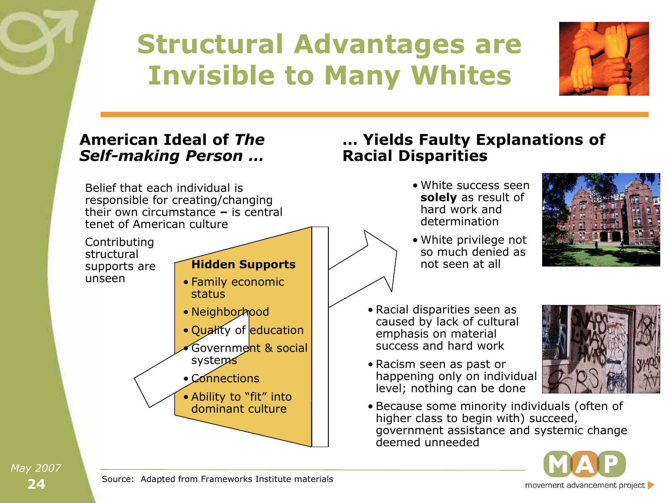#### **Structural Advantages are Invisible to Many Whites**



#### **American Ideal of** *The Self-making Person …*

Belief that each individual is responsible for creating/changing their own circumstance **–** is central tenet of American culture

Contributing structural supports are unseen

#### **Hidden Supports**

- Family economic status
- Neighborhood
- Quality of education
- Government & social systems
- Connections
- Ability to "fit" into dominant culture

**Racial Disparities** • White success seen

**… Yields Faulty Explanations of** 

- **solely** as result of hard work and determination
- White privilege not so much denied as not seen at all



- Racial disparities seen as caused by lack of cultural emphasis on material success and hard work
- Racism seen as past or happening only on individual level; nothing can be done



• Because some minority individuals (often of higher class to begin with) succeed, government assistance and systemic change deemed unneeded



Source: Adapted from Frameworks Institute materials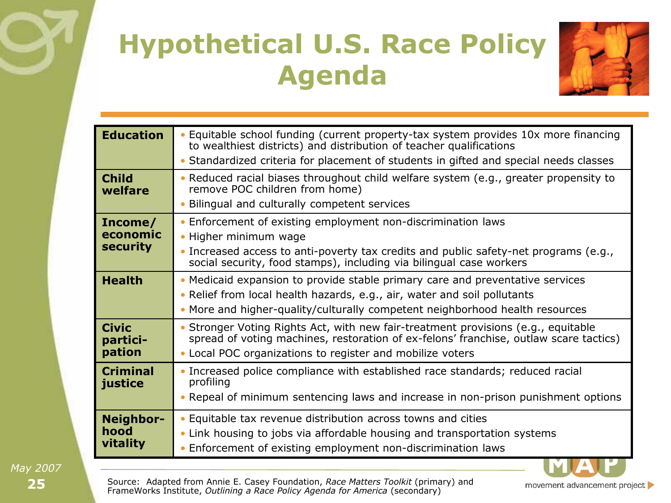# **Hypothetical U.S. Race Policy Agenda**



movement advancement project

| <b>Education</b>        | • Equitable school funding (current property-tax system provides 10x more financing<br>to wealthiest districts) and distribution of teacher qualifications                 |
|-------------------------|----------------------------------------------------------------------------------------------------------------------------------------------------------------------------|
|                         | • Standardized criteria for placement of students in gifted and special needs classes                                                                                      |
| <b>Child</b><br>welfare | • Reduced racial biases throughout child welfare system (e.g., greater propensity to<br>remove POC children from home)                                                     |
|                         | • Bilingual and culturally competent services                                                                                                                              |
| Income/                 | • Enforcement of existing employment non-discrimination laws                                                                                                               |
| economic                | • Higher minimum wage                                                                                                                                                      |
| <b>security</b>         | • Increased access to anti-poverty tax credits and public safety-net programs (e.g.,<br>social security, food stamps), including via bilingual case workers                |
| <b>Health</b>           | • Medicaid expansion to provide stable primary care and preventative services                                                                                              |
|                         | • Relief from local health hazards, e.g., air, water and soil pollutants                                                                                                   |
|                         | • More and higher-quality/culturally competent neighborhood health resources                                                                                               |
| <b>Civic</b>            | • Stronger Voting Rights Act, with new fair-treatment provisions (e.g., equitable<br>spread of voting machines, restoration of ex-felons' franchise, outlaw scare tactics) |
| partici-<br>pation      | • Local POC organizations to register and mobilize voters                                                                                                                  |
| <b>Criminal</b>         | • Increased police compliance with established race standards; reduced racial                                                                                              |
| justice                 | profiling<br>• Repeal of minimum sentencing laws and increase in non-prison punishment options                                                                             |
|                         |                                                                                                                                                                            |
| Neighbor-               | • Equitable tax revenue distribution across towns and cities                                                                                                               |
| hood                    | • Link housing to jobs via affordable housing and transportation systems                                                                                                   |
| vitality                | • Enforcement of existing employment non-discrimination laws                                                                                                               |

**25** *May 2007*

Source: Adapted from Annie E. Casey Foundation, *Race Matters Toolkit* (primary) and FrameWorks Institute, *Outlining a Race Policy Agenda for America* (secondary)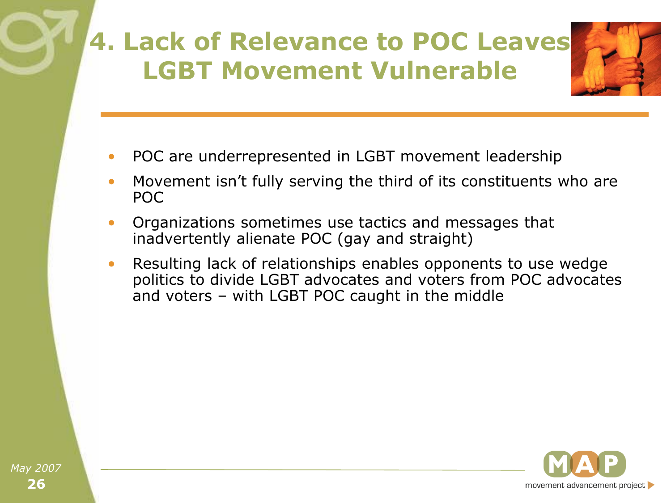#### **4. Lack of Relevance to POC Leaves LGBT Movement Vulnerable**



- POC are underrepresented in LGBT movement leadership
- Movement isn't fully serving the third of its constituents who are POC
- Organizations sometimes use tactics and messages that inadvertently alienate POC (gay and straight)
- Resulting lack of relationships enables opponents to use wedge politics to divide LGBT advocates and voters from POC advocates and voters – with LGBT POC caught in the middle

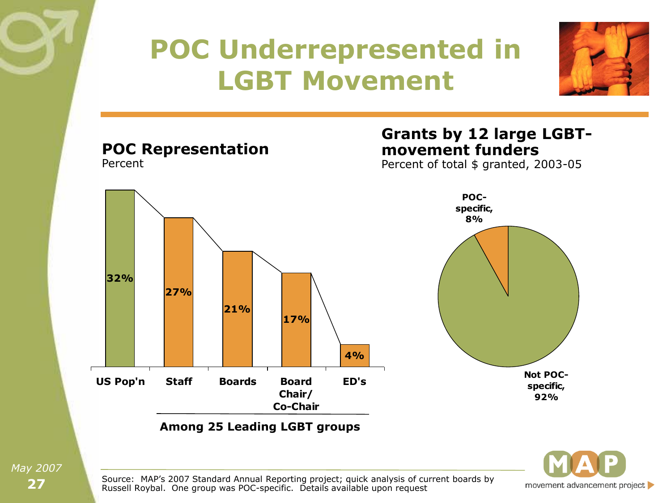#### **POC Underrepresented in LGBT Movement POC Representation** Percent **Grants by 12 large LGBTmovement funders** Percent of total \$ granted, 2003-05



movement advancement project

**Not POCspecific, 92%**

**POCspecific, 8%**

Source: MAP's 2007 Standard Annual Reporting project; quick analysis of current boards by Russell Roybal. One group was POC-specific. Details available upon request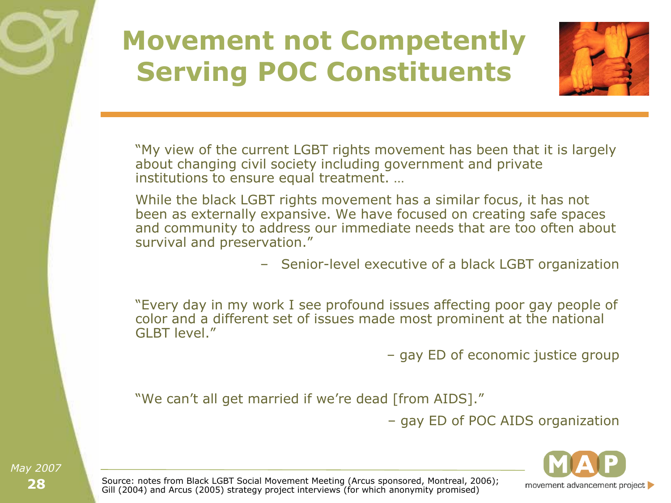#### **Movement not Competently Serving POC Constituents**



"My view of the current LGBT rights movement has been that it is largely about changing civil society including government and private institutions to ensure equal treatment. …

While the black LGBT rights movement has a similar focus, it has not been as externally expansive. We have focused on creating safe spaces and community to address our immediate needs that are too often about survival and preservation."

– Senior-level executive of a black LGBT organization

―Every day in my work I see profound issues affecting poor gay people of color and a different set of issues made most prominent at the national GLBT level.‖

– gay ED of economic justice group

"We can't all get married if we're dead [from AIDS]."

– gay ED of POC AIDS organization



Source: notes from Black LGBT Social Movement Meeting (Arcus sponsored, Montreal, 2006); Gill (2004) and Arcus (2005) strategy project interviews (for which anonymity promised)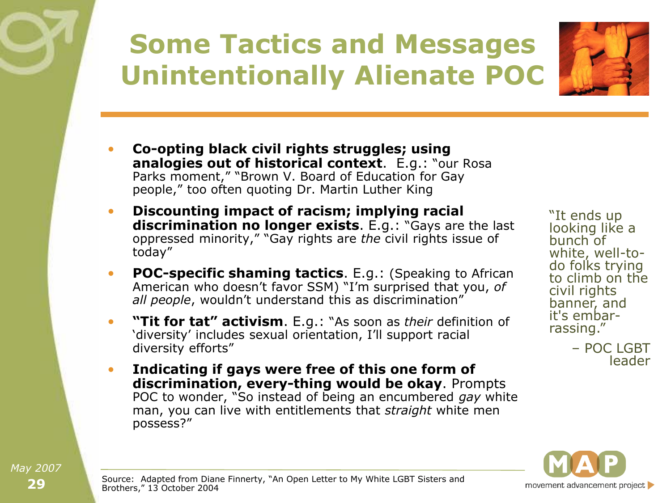# **Some Tactics and Messages Unintentionally Alienate POC**



- **Co-opting black civil rights struggles; using analogies out of historical context.** E.g.: "our Rosa Parks moment," "Brown V. Board of Education for Gay people," too often quoting Dr. Martin Luther King
- **Discounting impact of racism; implying racial discrimination no longer exists.** E.g.: "Gays are the last oppressed minority," "Gay rights are *the* civil rights issue of today"
- **POC-specific shaming tactics**. E.g.: (Speaking to African American who doesn't favor SSM) "I'm surprised that you, of *all people*, wouldn't understand this as discrimination"
- **"Tit for tat" activism**. E.g.: "As soon as *their* definition of 'diversity' includes sexual orientation, I'll support racial diversity efforts"
- **Indicating if gays were free of this one form of discrimination, every-thing would be okay**. Prompts POC to wonder, "So instead of being an encumbered gay white man, you can live with entitlements that *straight* white men possess?"

"It ends up looking like a bunch of white, well-todo folks trying to climb on the civil rights banner, and it's embarrassing."

> – POC LGBT leader

movement advancement project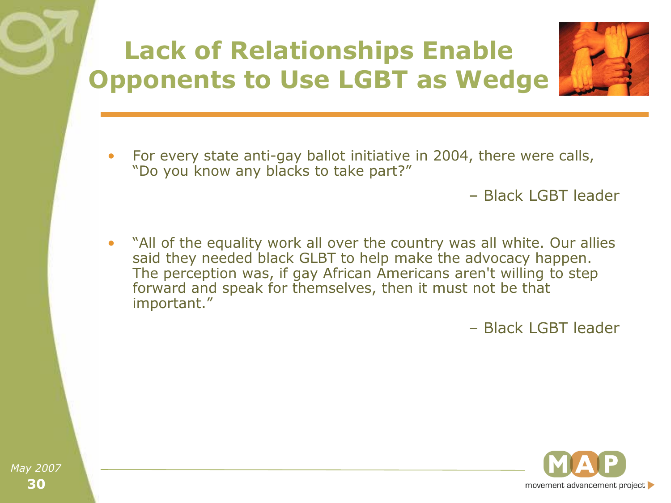### **Lack of Relationships Enable Opponents to Use LGBT as Wedge**



• For every state anti-gay ballot initiative in 2004, there were calls, "Do you know any blacks to take part?"

– Black LGBT leader

"All of the equality work all over the country was all white. Our allies said they needed black GLBT to help make the advocacy happen. The perception was, if gay African Americans aren't willing to step forward and speak for themselves, then it must not be that important."

– Black LGBT leader

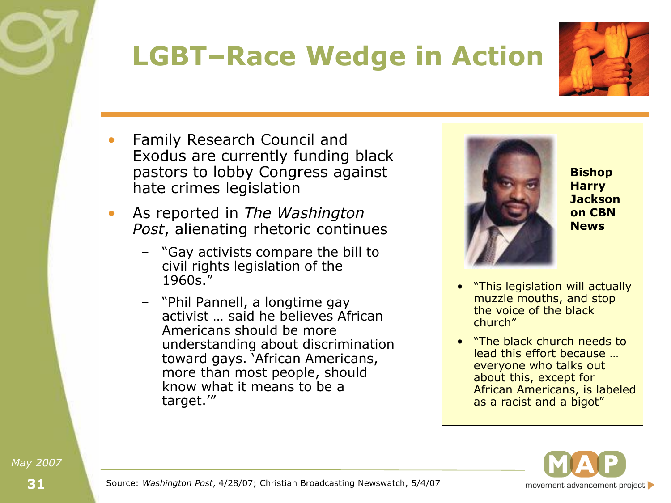## **LGBT–Race Wedge in Action**



- Family Research Council and Exodus are currently funding black pastors to lobby Congress against hate crimes legislation
- As reported in *The Washington Post*, alienating rhetoric continues
	- "Gay activists compare the bill to civil rights legislation of the  $1960s.$
	- ―Phil Pannell, a longtime gay activist … said he believes African Americans should be more understanding about discrimination toward gays. 'African Americans, more than most people, should know what it means to be a target."



**Bishop Harry Jackson on CBN News**

- "This legislation will actually muzzle mouths, and stop the voice of the black church"
- **"The black church needs to"** lead this effort because … everyone who talks out about this, except for African Americans, is labeled as a racist and a bigot"



Source: *Washington Post*, 4/28/07; Christian Broadcasting Newswatch, 5/4/07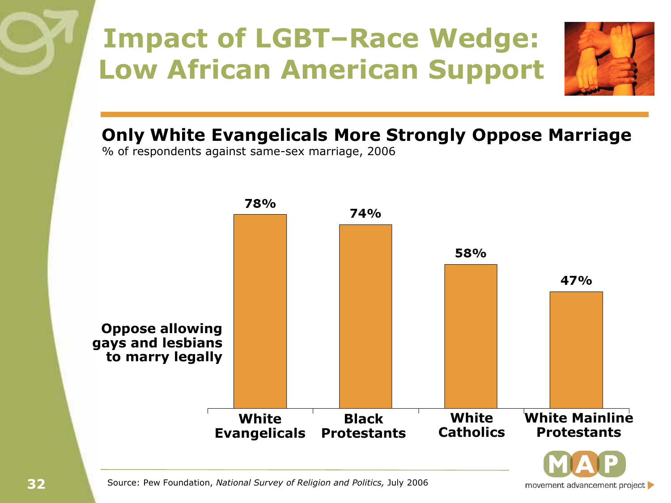## **Impact of LGBT–Race Wedge: Low African American Support**



**Only White Evangelicals More Strongly Oppose Marriage**

% of respondents against same-sex marriage, 2006



Source: Pew Foundation, *National Survey of Religion and Politics,* July 2006

movement advancement project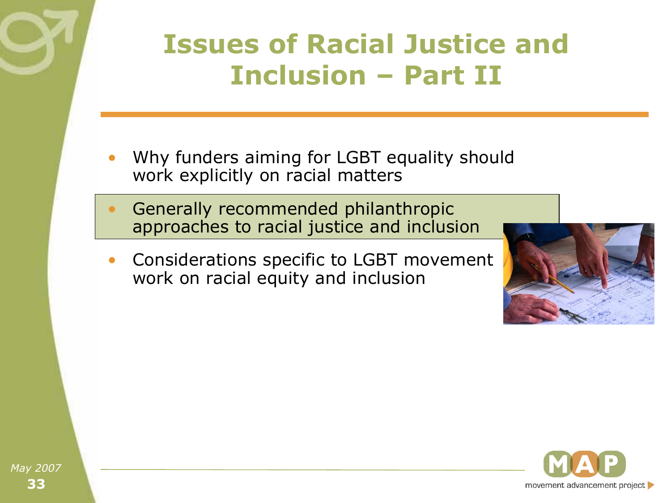#### **Issues of Racial Justice and Inclusion – Part II**

- Why funders aiming for LGBT equality should work explicitly on racial matters
- Generally recommended philanthropic approaches to racial justice and inclusion
- Considerations specific to LGBT movement work on racial equity and inclusion



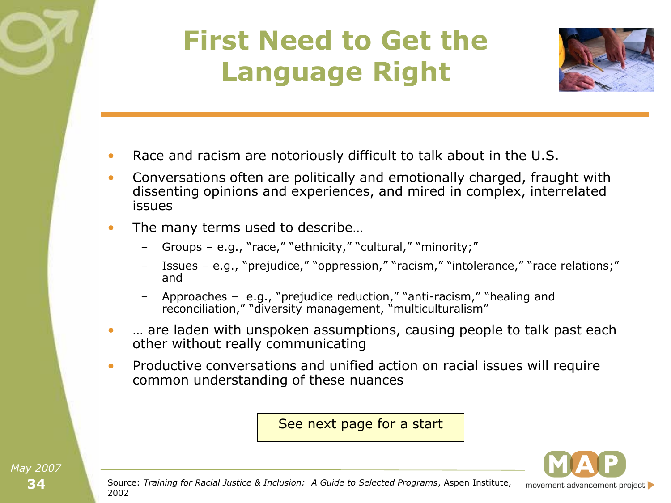#### **First Need to Get the Language Right**



- Race and racism are notoriously difficult to talk about in the U.S.
- Conversations often are politically and emotionally charged, fraught with dissenting opinions and experiences, and mired in complex, interrelated issues
- The many terms used to describe...
	- Groups e.g., "race," "ethnicity," "cultural," "minority;"
	- Issues e.g., "prejudice," "oppression," "racism," "intolerance," "race relations;" and
	- Approaches e.g., "prejudice reduction," "anti-racism," "healing and reconciliation," "diversity management, "multiculturalism"
- ... are laden with unspoken assumptions, causing people to talk past each other without really communicating
- Productive conversations and unified action on racial issues will require common understanding of these nuances

See next page for a start

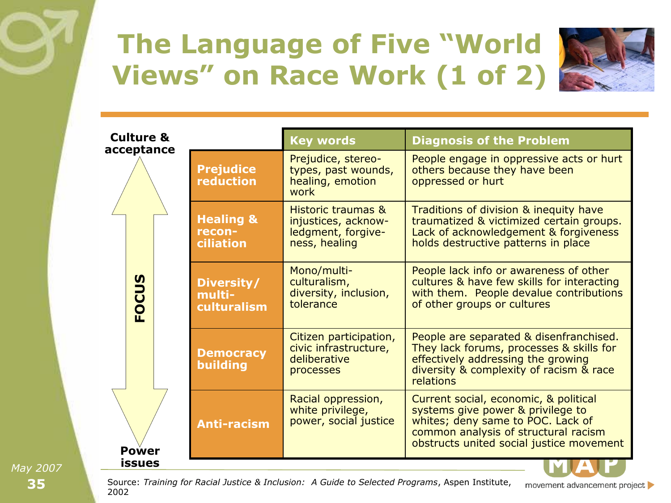## **The Language of Five "World Views" on Race Work (1 of 2)**



| <b>Culture &amp;</b>              |                                             | <b>Key words</b>                                                                 | <b>Diagnosis of the Problem</b>                                                                                                                                                                     |
|-----------------------------------|---------------------------------------------|----------------------------------------------------------------------------------|-----------------------------------------------------------------------------------------------------------------------------------------------------------------------------------------------------|
| acceptance                        | <b>Prejudice</b><br>reduction               | Prejudice, stereo-<br>types, past wounds,<br>healing, emotion<br>work            | People engage in oppressive acts or hurt<br>others because they have been<br>oppressed or hurt                                                                                                      |
|                                   | <b>Healing &amp;</b><br>recon-<br>ciliation | Historic traumas &<br>injustices, acknow-<br>ledgment, forgive-<br>ness, healing | Traditions of division & inequity have<br>traumatized & victimized certain groups.<br>Lack of acknowledgement & forgiveness<br>holds destructive patterns in place                                  |
| $\boldsymbol{\mathsf{S}}$<br>FOCU | Diversity/<br>multi-<br>culturalism         | Mono/multi-<br>culturalism,<br>diversity, inclusion,<br>tolerance                | People lack info or awareness of other<br>cultures & have few skills for interacting<br>with them. People devalue contributions<br>of other groups or cultures                                      |
|                                   | <b>Democracy</b><br>building                | Citizen participation,<br>civic infrastructure,<br>deliberative<br>processes     | People are separated & disenfranchised.<br>They lack forums, processes & skills for<br>effectively addressing the growing<br>diversity & complexity of racism & race<br>relations                   |
| Power                             | <b>Anti-racism</b>                          | Racial oppression,<br>white privilege,<br>power, social justice                  | Current social, economic, & political<br>systems give power & privilege to<br>whites; deny same to POC. Lack of<br>common analysis of structural racism<br>obstructs united social justice movement |
| issues                            |                                             |                                                                                  |                                                                                                                                                                                                     |

**35 issues** *May 2007*



movement advancement project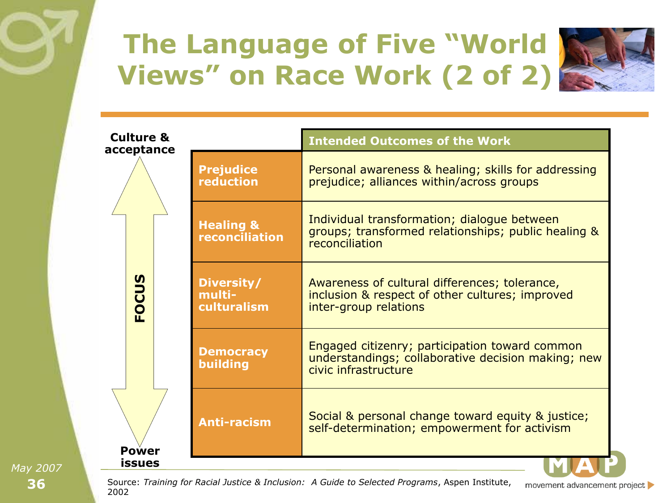## **The Language of Five "World Views" on Race Work (2 of 2)**



| <b>Culture &amp;</b><br>acceptance |                                        | <b>Intended Outcomes of the Work</b>                                                                                         |
|------------------------------------|----------------------------------------|------------------------------------------------------------------------------------------------------------------------------|
|                                    | <b>Prejudice</b><br><b>reduction</b>   | Personal awareness & healing; skills for addressing<br>prejudice; alliances within/across groups                             |
|                                    | <b>Healing &amp;</b><br>reconciliation | Individual transformation; dialogue between<br>groups; transformed relationships; public healing &<br>reconciliation         |
| FOCUS                              | Diversity/<br>multi-<br>culturalism    | Awareness of cultural differences; tolerance,<br>inclusion & respect of other cultures; improved<br>inter-group relations    |
|                                    | <b>Democracy</b><br>building           | Engaged citizenry; participation toward common<br>understandings; collaborative decision making; new<br>civic infrastructure |
| Power                              | <b>Anti-racism</b>                     | Social & personal change toward equity & justice;<br>self-determination; empowerment for activism                            |
| <b>issues</b>                      |                                        |                                                                                                                              |

**36 issues** *May 2007*

Source: *Training for Racial Justice & Inclusion: A Guide to Selected Programs*, Aspen Institute, 2002

movement advancement project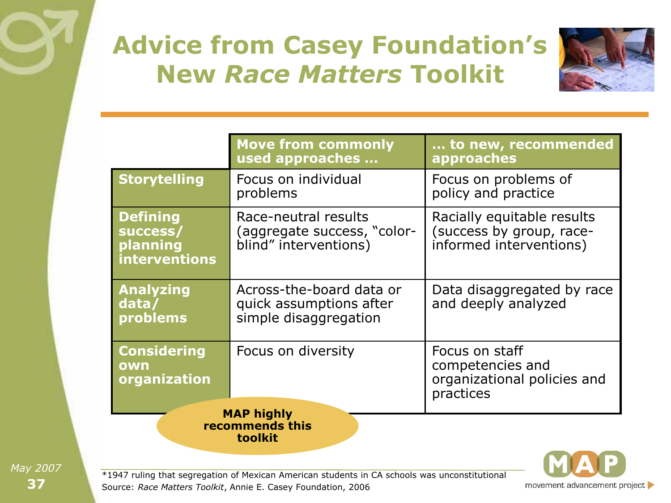#### **Advice from Casey Foundation's New** *Race Matters* **Toolkit**



|                                                          | <b>Move from commonly</b><br>used approaches                                 | to new, recommended<br>approaches                                                 |
|----------------------------------------------------------|------------------------------------------------------------------------------|-----------------------------------------------------------------------------------|
| <b>Storytelling</b>                                      | Focus on individual<br>problems                                              | Focus on problems of<br>policy and practice                                       |
| <b>Defining</b><br>success/<br>planning<br>interventions | Race-neutral results<br>(aggregate success, "color-<br>blind" interventions) | Racially equitable results<br>(success by group, race-<br>informed interventions) |
| <b>Analyzing</b><br>data/<br>problems                    | Across-the-board data or<br>quick assumptions after<br>simple disaggregation | Data disaggregated by race<br>and deeply analyzed                                 |
| <b>Considering</b><br>own<br>organization                | Focus on diversity                                                           | Focus on staff<br>competencies and<br>organizational policies and<br>practices    |
| <b>MAP highly</b><br>recommends this<br>toolkit          |                                                                              |                                                                                   |



\*1947 ruling that segregation of Mexican American students in CA schools was unconstitutional Source: *Race Matters Toolkit*, Annie E. Casey Foundation, 2006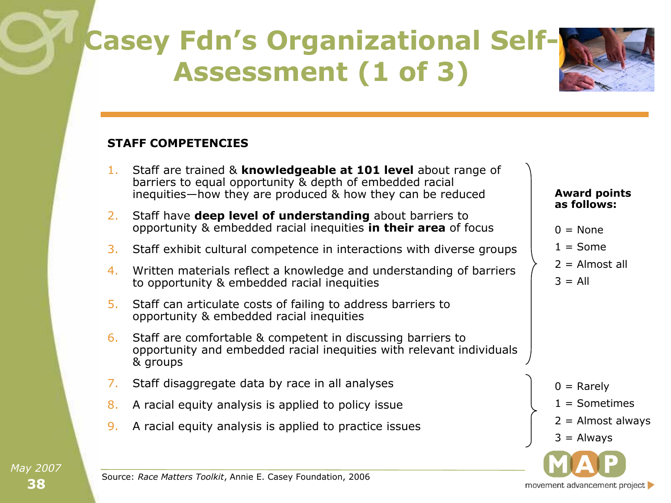## **Casey Fdn's Organizational Self-Assessment (1 of 3)**

#### **STAFF COMPETENCIES**

- 1. Staff are trained & **knowledgeable at 101 level** about range of barriers to equal opportunity & depth of embedded racial inequities—how they are produced & how they can be reduced
- 2. Staff have **deep level of understanding** about barriers to opportunity & embedded racial inequities **in their area** of focus
- 3. Staff exhibit cultural competence in interactions with diverse groups
- 4. Written materials reflect a knowledge and understanding of barriers to opportunity & embedded racial inequities
- 5. Staff can articulate costs of failing to address barriers to opportunity & embedded racial inequities
- 6. Staff are comfortable & competent in discussing barriers to opportunity and embedded racial inequities with relevant individuals & groups
- 7. Staff disaggregate data by race in all analyses
- 8. A racial equity analysis is applied to policy issue
- 9. A racial equity analysis is applied to practice issues

#### **Award points as follows:**

- $0 = \text{None}$
- $1 = Some$
- $2 =$  Almost all
- $3 = \text{All}$

 $0 =$  Rarely

- $1 =$  Sometimes
- $2 =$  Almost always
- $3 =$  Always

movement advancement project

Source: *Race Matters Toolkit*, Annie E. Casey Foundation, 2006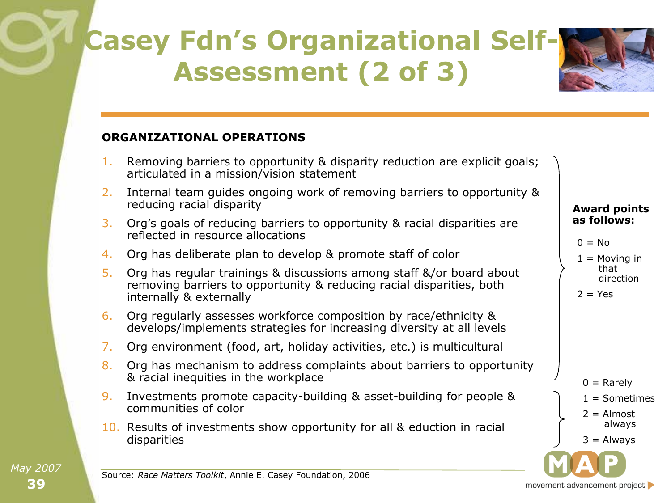## **Casey Fdn's Organizational Self-Assessment (2 of 3)**

#### **ORGANIZATIONAL OPERATIONS**

- 1. Removing barriers to opportunity & disparity reduction are explicit goals; articulated in a mission/vision statement
- 2. Internal team guides ongoing work of removing barriers to opportunity & reducing racial disparity
- 3. Org's goals of reducing barriers to opportunity & racial disparities are reflected in resource allocations
- 4. Org has deliberate plan to develop & promote staff of color
- 5. Org has regular trainings & discussions among staff &/or board about removing barriers to opportunity & reducing racial disparities, both internally & externally
- 6. Org regularly assesses workforce composition by race/ethnicity & develops/implements strategies for increasing diversity at all levels
- 7. Org environment (food, art, holiday activities, etc.) is multicultural
- 8. Org has mechanism to address complaints about barriers to opportunity & racial inequities in the workplace
- 9. Investments promote capacity-building & asset-building for people & communities of color
- 10. Results of investments show opportunity for all & eduction in racial disparities

#### **Award points as follows:**

```
0 = No
```
 $1 =$  Moving in that direction

$$
2 = Yes
$$

 $0 =$ Rarely  $1 =$  Sometimes  $2 =$  Almost always  $3 =$  Always

movement advancement project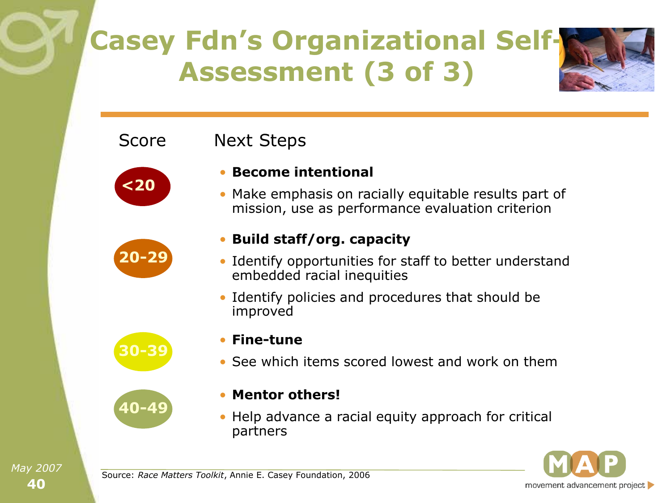## **Casey Fdn's Organizational Self-Assessment (3 of 3)**

#### Next Steps



Score



**30-39**

**40-49**

#### • **Build staff/org. capacity**

• **Become intentional**

• Identify opportunities for staff to better understand embedded racial inequities

• Make emphasis on racially equitable results part of mission, use as performance evaluation criterion

- Identify policies and procedures that should be improved
- **Fine-tune**
	- See which items scored lowest and work on them
	- **Mentor others!**
	- Help advance a racial equity approach for critical partners



Source: *Race Matters Toolkit*, Annie E. Casey Foundation, 2006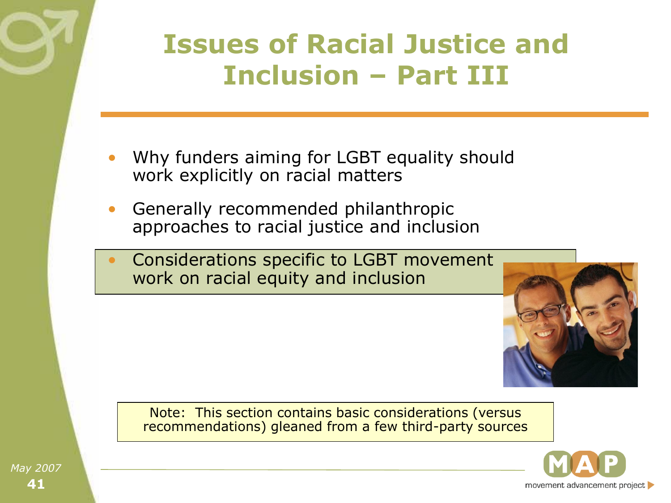

- Why funders aiming for LGBT equality should work explicitly on racial matters
- Generally recommended philanthropic approaches to racial justice and inclusion
- Considerations specific to LGBT movement work on racial equity and inclusion



Note: This section contains basic considerations (versus recommendations) gleaned from a few third-party sources

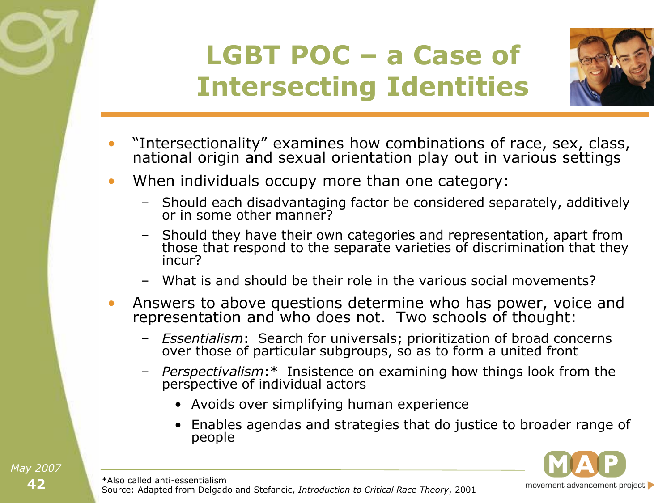## **LGBT POC – a Case of Intersecting Identities**



- "Intersectionality" examines how combinations of race, sex, class, national origin and sexual orientation play out in various settings
- When individuals occupy more than one category:
	- Should each disadvantaging factor be considered separately, additively or in some other manner?
	- Should they have their own categories and representation, apart from those that respond to the separate varieties of discrimination that they incur?
	- What is and should be their role in the various social movements?
- Answers to above questions determine who has power, voice and representation and who does not. Two schools of thought:
	- *Essentialism*: Search for universals; prioritization of broad concerns over those of particular subgroups, so as to form a united front
	- *Perspectivalism*:\* Insistence on examining how things look from the perspective of individual actors
		- Avoids over simplifying human experience
		- Enables agendas and strategies that do justice to broader range of people

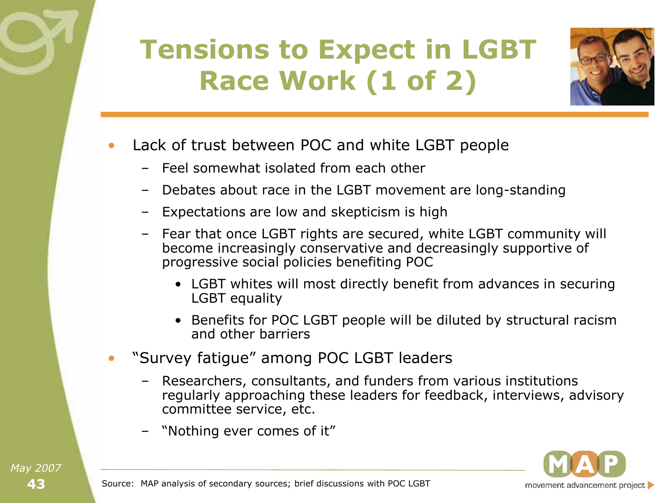# **Tensions to Expect in LGBT Race Work (1 of 2)**



- Lack of trust between POC and white LGBT people
	- Feel somewhat isolated from each other
	- Debates about race in the LGBT movement are long-standing
	- Expectations are low and skepticism is high
	- Fear that once LGBT rights are secured, white LGBT community will become increasingly conservative and decreasingly supportive of progressive social policies benefiting POC
		- LGBT whites will most directly benefit from advances in securing LGBT equality
		- Benefits for POC LGBT people will be diluted by structural racism and other barriers
- ―Survey fatigue‖ among POC LGBT leaders
	- Researchers, consultants, and funders from various institutions regularly approaching these leaders for feedback, interviews, advisory committee service, etc.
	- "Nothing ever comes of it"

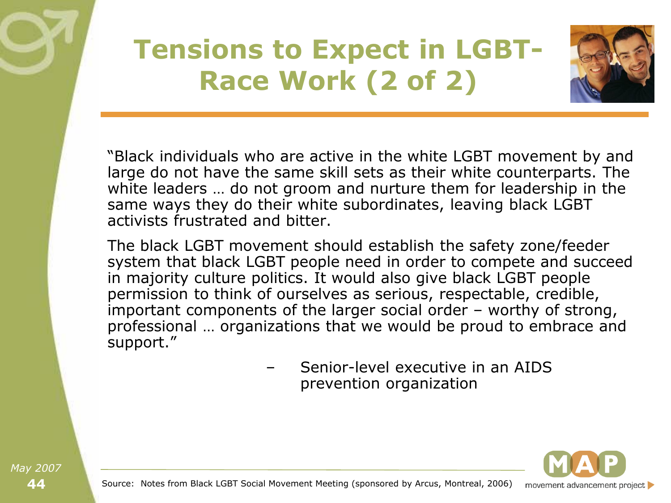## **Tensions to Expect in LGBT-Race Work (2 of 2)**



"Black individuals who are active in the white LGBT movement by and large do not have the same skill sets as their white counterparts. The white leaders … do not groom and nurture them for leadership in the same ways they do their white subordinates, leaving black LGBT activists frustrated and bitter.

The black LGBT movement should establish the safety zone/feeder system that black LGBT people need in order to compete and succeed in majority culture politics. It would also give black LGBT people permission to think of ourselves as serious, respectable, credible, important components of the larger social order – worthy of strong, professional … organizations that we would be proud to embrace and support."

> – Senior-level executive in an AIDS prevention organization

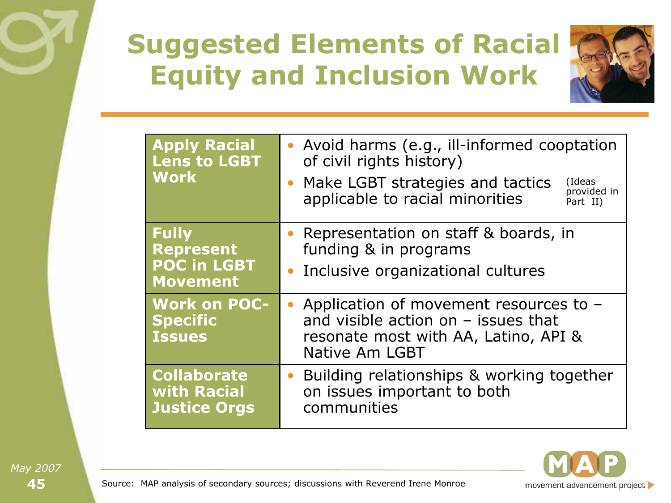# **Suggested Elements of Racial Equity and Inclusion Work**



| <b>Apply Racial</b><br><b>Lens to LGBT</b><br><b>Work</b>                 | • Avoid harms (e.g., ill-informed cooptation<br>of civil rights history)<br>• Make LGBT strategies and tactics<br>(Ideas<br>provided in<br>applicable to racial minorities<br>Part II) |  |
|---------------------------------------------------------------------------|----------------------------------------------------------------------------------------------------------------------------------------------------------------------------------------|--|
| <b>Fully</b><br><b>Represent</b><br><b>POC in LGBT</b><br><b>Movement</b> | Representation on staff & boards, in<br>funding & in programs<br>• Inclusive organizational cultures                                                                                   |  |
| <b>Work on POC-</b><br><b>Specific</b><br><b>Issues</b>                   | • Application of movement resources to -<br>and visible action on $-$ issues that<br>resonate most with AA, Latino, API &<br>Native Am LGBT                                            |  |
| <b>Collaborate</b><br>with Racial<br><b>Justice Orgs</b>                  | Building relationships & working together<br>$\bullet$<br>on issues important to both<br>communities                                                                                   |  |



Source: MAP analysis of secondary sources; discussions with Reverend Irene Monroe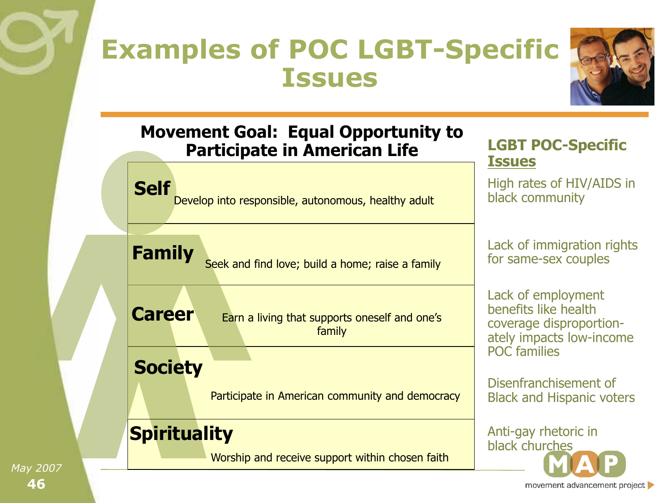#### **Examples of POC LGBT-Specific Issues**



#### **Movement Goal: Equal Opportunity to Participate in American Life**

Develop into responsible, autonomous, healthy adult

**LGBT POC-Specific Issues**

High rates of HIV/AIDS in black community

Seek and find love; build a home; raise a family **Family**

**Career** Earn a living that supports oneself and one's family

#### **Society**

**Self**

Participate in American community and democracy

#### **Spirituality**

Worship and receive support within chosen faith

Lack of immigration rights for same-sex couples

Lack of employment benefits like health coverage disproportionately impacts low-income POC families

Disenfranchisement of Black and Hispanic voters

Anti-gay rhetoric in black churches

**46** *May 2007*

movement advancement project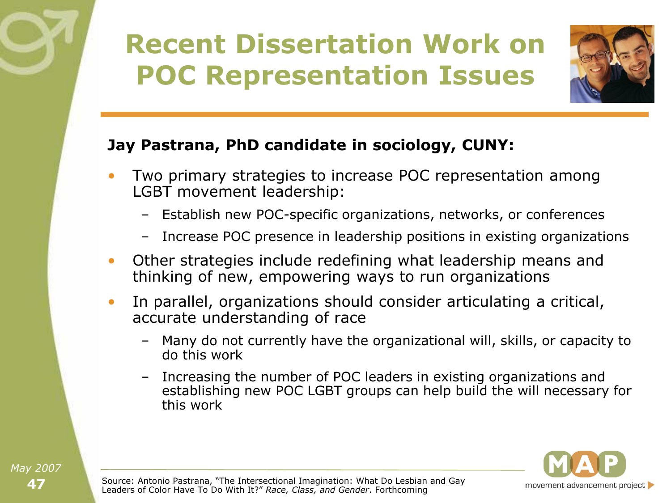# **Recent Dissertation Work on POC Representation Issues**



#### **Jay Pastrana, PhD candidate in sociology, CUNY:**

- Two primary strategies to increase POC representation among LGBT movement leadership:
	- Establish new POC-specific organizations, networks, or conferences
	- Increase POC presence in leadership positions in existing organizations
- Other strategies include redefining what leadership means and thinking of new, empowering ways to run organizations
- In parallel, organizations should consider articulating a critical, accurate understanding of race
	- Many do not currently have the organizational will, skills, or capacity to do this work
	- Increasing the number of POC leaders in existing organizations and establishing new POC LGBT groups can help build the will necessary for this work

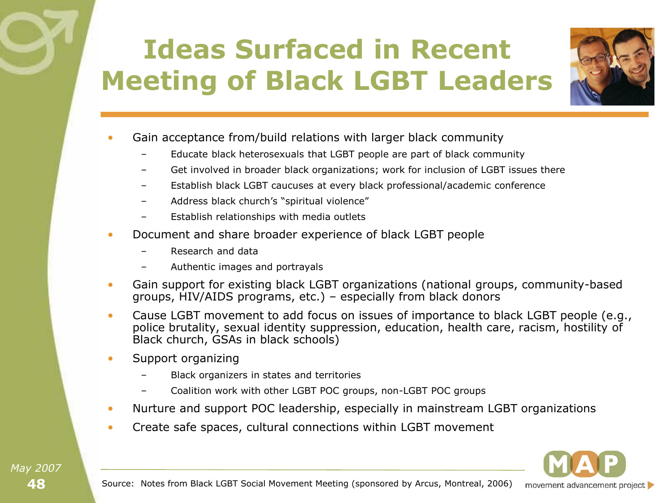# **Ideas Surfaced in Recent Meeting of Black LGBT Leaders**



- Gain acceptance from/build relations with larger black community
	- Educate black heterosexuals that LGBT people are part of black community
	- Get involved in broader black organizations; work for inclusion of LGBT issues there
	- Establish black LGBT caucuses at every black professional/academic conference
	- Address black church's "spiritual violence"
	- Establish relationships with media outlets
- Document and share broader experience of black LGBT people
	- Research and data
	- Authentic images and portrayals
- Gain support for existing black LGBT organizations (national groups, community-based groups, HIV/AIDS programs, etc.) – especially from black donors
- Cause LGBT movement to add focus on issues of importance to black LGBT people (e.g., police brutality, sexual identity suppression, education, health care, racism, hostility of Black church, GSAs in black schools)
- Support organizing
	- Black organizers in states and territories
	- Coalition work with other LGBT POC groups, non-LGBT POC groups
- Nurture and support POC leadership, especially in mainstream LGBT organizations
- Create safe spaces, cultural connections within LGBT movement

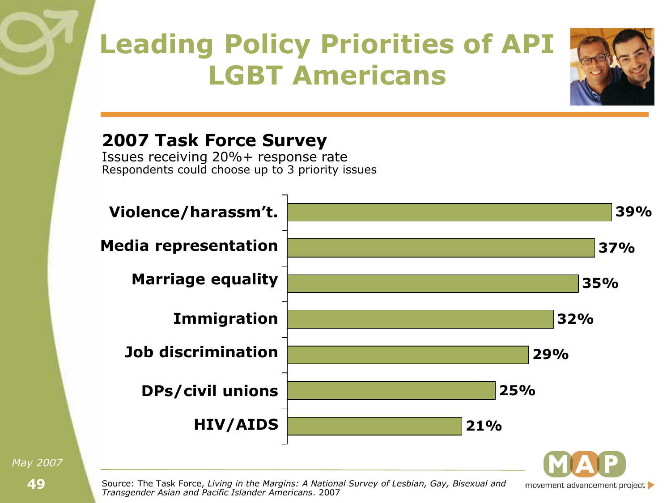## **Leading Policy Priorities of API LGBT Americans**



movement advancement project

#### **2007 Task Force Survey**

Issues receiving 20%+ response rate Respondents could choose up to 3 priority issues



Source: The Task Force, *Living in the Margins: A National Survey of Lesbian, Gay, Bisexual and Transgender Asian and Pacific Islander Americans*. 2007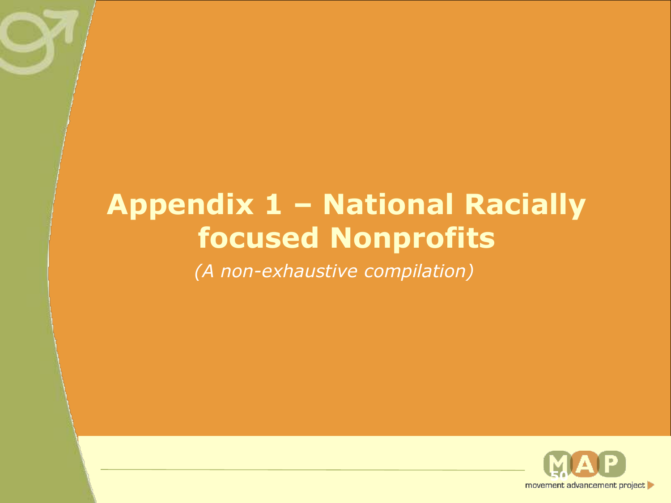#### **Appendix 1 – National Racially focused Nonprofits**

*(A non-exhaustive compilation)*

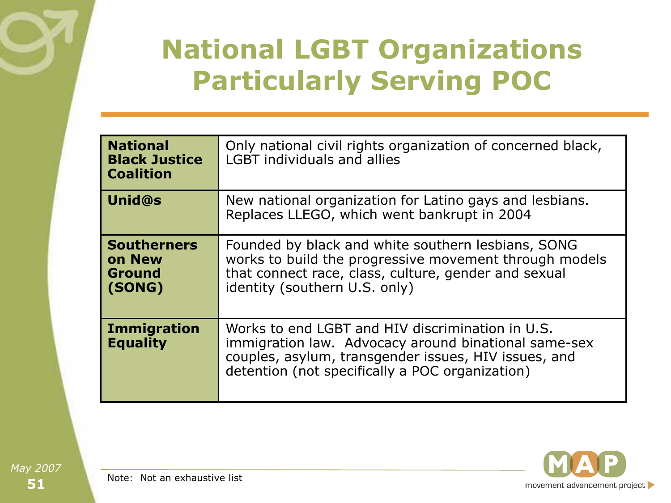### **National LGBT Organizations Particularly Serving POC**

| <b>National</b><br><b>Black Justice</b><br><b>Coalition</b> | Only national civil rights organization of concerned black,<br><b>LGBT</b> individuals and allies                                                                                                                   |
|-------------------------------------------------------------|---------------------------------------------------------------------------------------------------------------------------------------------------------------------------------------------------------------------|
| <b>Unid@s</b>                                               | New national organization for Latino gays and lesbians.<br>Replaces LLEGO, which went bankrupt in 2004                                                                                                              |
| <b>Southerners</b><br>on New<br><b>Ground</b><br>(SONG)     | Founded by black and white southern lesbians, SONG<br>works to build the progressive movement through models<br>that connect race, class, culture, gender and sexual<br>identity (southern U.S. only)               |
| <b>Immigration</b><br><b>Equality</b>                       | Works to end LGBT and HIV discrimination in U.S.<br>immigration law. Advocacy around binational same-sex<br>couples, asylum, transgender issues, HIV issues, and<br>detention (not specifically a POC organization) |



Note: Not an exhaustive list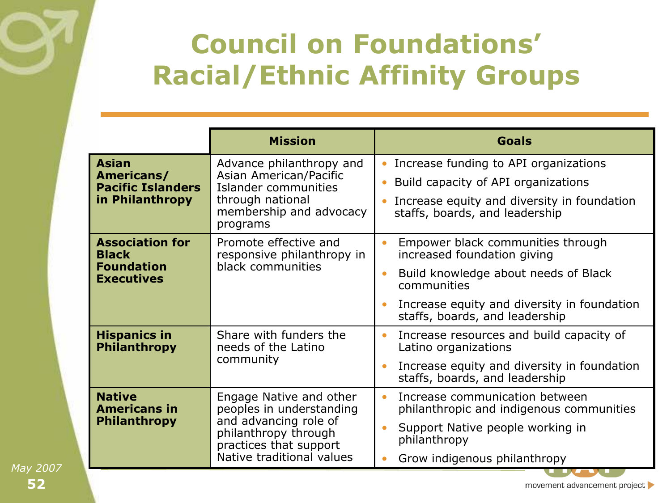### **Council on Foundations' Racial/Ethnic Affinity Groups**

|                                                                                  | <b>Mission</b>                                                                                                                                              | <b>Goals</b>                                                                                                                                                                                                          |
|----------------------------------------------------------------------------------|-------------------------------------------------------------------------------------------------------------------------------------------------------------|-----------------------------------------------------------------------------------------------------------------------------------------------------------------------------------------------------------------------|
| <b>Asian</b><br>Americans/<br><b>Pacific Islanders</b><br>in Philanthropy        | Advance philanthropy and<br>Asian American/Pacific<br>Islander communities<br>through national<br>membership and advocacy<br>programs                       | Increase funding to API organizations<br>$\bullet$<br>Build capacity of API organizations<br>Increase equity and diversity in foundation<br>staffs, boards, and leadership                                            |
| <b>Association for</b><br><b>Black</b><br><b>Foundation</b><br><b>Executives</b> | Promote effective and<br>responsive philanthropy in<br>black communities                                                                                    | Empower black communities through<br>$\bullet$<br>increased foundation giving<br>Build knowledge about needs of Black<br>communities<br>Increase equity and diversity in foundation<br>staffs, boards, and leadership |
| <b>Hispanics in</b><br><b>Philanthropy</b>                                       | Share with funders the<br>needs of the Latino<br>community                                                                                                  | Increase resources and build capacity of<br>$\bullet$<br>Latino organizations<br>Increase equity and diversity in foundation<br>staffs, boards, and leadership                                                        |
| <b>Native</b><br><b>Americans in</b><br><b>Philanthropy</b>                      | Engage Native and other<br>peoples in understanding<br>and advancing role of<br>philanthropy through<br>practices that support<br>Native traditional values | Increase communication between<br>$\bullet$<br>philanthropic and indigenous communities<br>Support Native people working in<br>philanthropy<br>Grow indigenous philanthropy                                           |

**52** *May 2007*

movement advancement project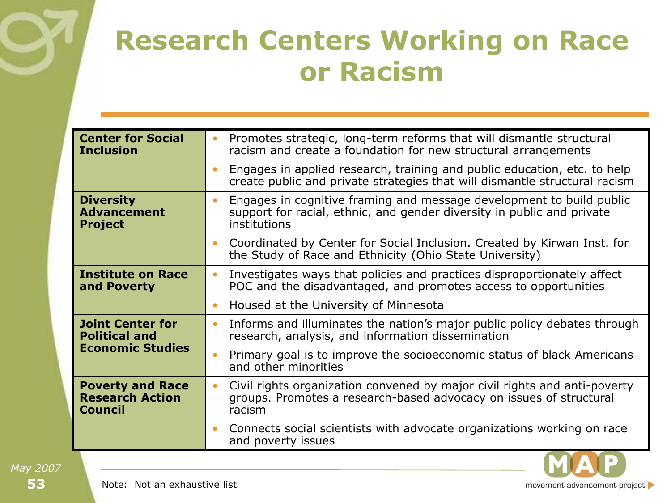#### **Research Centers Working on Race or Racism**

| <b>Center for Social</b><br><b>Inclusion</b>                        | Promotes strategic, long-term reforms that will dismantle structural<br>$\bullet$<br>racism and create a foundation for new structural arrangements                         |
|---------------------------------------------------------------------|-----------------------------------------------------------------------------------------------------------------------------------------------------------------------------|
|                                                                     | Engages in applied research, training and public education, etc. to help<br>create public and private strategies that will dismantle structural racism                      |
| <b>Diversity</b><br><b>Advancement</b><br><b>Project</b>            | Engages in cognitive framing and message development to build public<br>$\bullet$<br>support for racial, ethnic, and gender diversity in public and private<br>institutions |
|                                                                     | Coordinated by Center for Social Inclusion. Created by Kirwan Inst. for<br>$\bullet$<br>the Study of Race and Ethnicity (Ohio State University)                             |
| <b>Institute on Race</b><br>and Poverty                             | Investigates ways that policies and practices disproportionately affect<br>$\bullet$<br>POC and the disadvantaged, and promotes access to opportunities                     |
|                                                                     | Housed at the University of Minnesota<br>$\bullet$                                                                                                                          |
| <b>Joint Center for</b><br><b>Political and</b>                     | Informs and illuminates the nation's major public policy debates through<br>$\bullet$<br>research, analysis, and information dissemination                                  |
| <b>Economic Studies</b>                                             | Primary goal is to improve the socioeconomic status of black Americans<br>$\bullet$<br>and other minorities                                                                 |
| <b>Poverty and Race</b><br><b>Research Action</b><br><b>Council</b> | Civil rights organization convened by major civil rights and anti-poverty<br>$\bullet$<br>groups. Promotes a research-based advocacy on issues of structural<br>racism      |
|                                                                     | Connects social scientists with advocate organizations working on race<br>and poverty issues                                                                                |

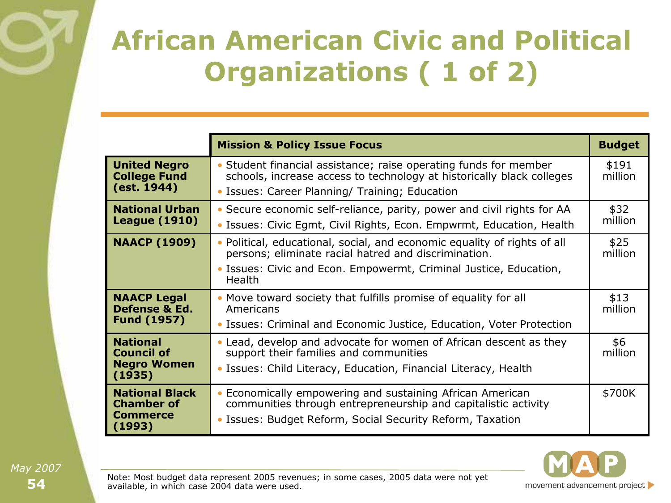### **African American Civic and Political Organizations ( 1 of 2)**

|                                                                      | <b>Mission &amp; Policy Issue Focus</b>                                                                                                                                                                       | <b>Budget</b>    |
|----------------------------------------------------------------------|---------------------------------------------------------------------------------------------------------------------------------------------------------------------------------------------------------------|------------------|
| <b>United Negro</b><br><b>College Fund</b><br>(est. 1944)            | • Student financial assistance; raise operating funds for member<br>schools, increase access to technology at historically black colleges<br>• Issues: Career Planning/ Training; Education                   | \$191<br>million |
| <b>National Urban</b><br><b>League (1910)</b>                        | • Secure economic self-reliance, parity, power and civil rights for AA<br>• Issues: Civic Egmt, Civil Rights, Econ. Empwrmt, Education, Health                                                                | \$32<br>million  |
| <b>NAACP (1909)</b>                                                  | Political, educational, social, and economic equality of rights of all<br>persons; eliminate racial hatred and discrimination.<br>• Issues: Civic and Econ. Empowermt, Criminal Justice, Education,<br>Health | \$25<br>million  |
| <b>NAACP Legal</b><br>Defense & Ed.<br><b>Fund (1957)</b>            | • Move toward society that fulfills promise of equality for all<br>Americans<br>• Issues: Criminal and Economic Justice, Education, Voter Protection                                                          | \$13<br>million  |
| <b>National</b><br><b>Council of</b><br><b>Negro Women</b><br>(1935) | • Lead, develop and advocate for women of African descent as they<br>support their families and communities<br>• Issues: Child Literacy, Education, Financial Literacy, Health                                | \$6<br>million   |
| <b>National Black</b><br><b>Chamber of</b><br>Commerce<br>(1993)     | Economically empowering and sustaining African American<br>communities through entrepreneurship and capitalistic activity<br>• Issues: Budget Reform, Social Security Reform, Taxation                        | \$700K           |



Note: Most budget data represent 2005 revenues; in some cases, 2005 data were not yet available, in which case 2004 data were used.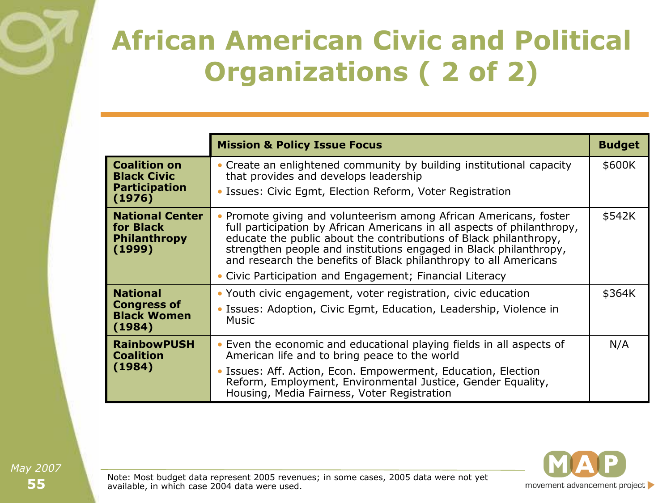### **African American Civic and Political Organizations ( 2 of 2)**

|                                                                             | <b>Mission &amp; Policy Issue Focus</b>                                                                                                                                                                                                                                                                                                                                                                                | <b>Budget</b> |
|-----------------------------------------------------------------------------|------------------------------------------------------------------------------------------------------------------------------------------------------------------------------------------------------------------------------------------------------------------------------------------------------------------------------------------------------------------------------------------------------------------------|---------------|
| <b>Coalition on</b><br><b>Black Civic</b><br><b>Participation</b><br>(1976) | • Create an enlightened community by building institutional capacity<br>that provides and develops leadership<br>• Issues: Civic Egmt, Election Reform, Voter Registration                                                                                                                                                                                                                                             | \$600K        |
| <b>National Center</b><br>for Black<br><b>Philanthropy</b><br>(1999)        | • Promote giving and volunteerism among African Americans, foster<br>full participation by African Americans in all aspects of philanthropy,<br>educate the public about the contributions of Black philanthropy,<br>strengthen people and institutions engaged in Black philanthropy,<br>and research the benefits of Black philanthropy to all Americans<br>• Civic Participation and Engagement; Financial Literacy | \$542K        |
| <b>National</b><br><b>Congress of</b><br><b>Black Women</b><br>(1984)       | • Youth civic engagement, voter registration, civic education<br>• Issues: Adoption, Civic Egmt, Education, Leadership, Violence in<br><b>Music</b>                                                                                                                                                                                                                                                                    | \$364K        |
| <b>RainbowPUSH</b><br><b>Coalition</b><br>(1984)                            | • Even the economic and educational playing fields in all aspects of<br>American life and to bring peace to the world<br>· Issues: Aff. Action, Econ. Empowerment, Education, Election<br>Reform, Employment, Environmental Justice, Gender Equality,<br>Housing, Media Fairness, Voter Registration                                                                                                                   | N/A           |



Note: Most budget data represent 2005 revenues; in some cases, 2005 data were not yet available, in which case 2004 data were used.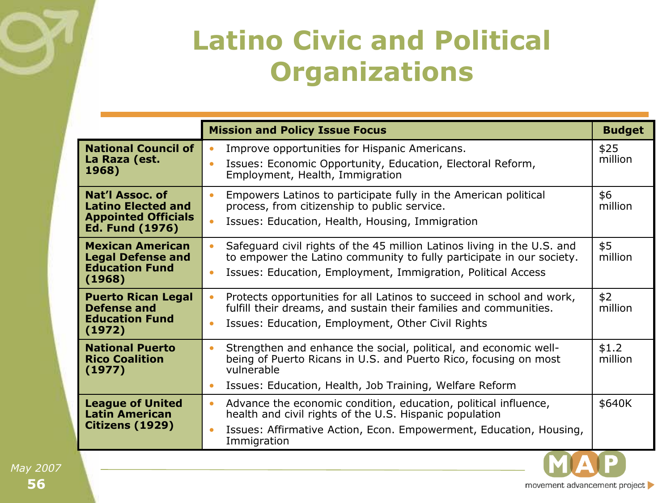

#### **Latino Civic and Political Organizations**

|                                                                                                      | <b>Mission and Policy Issue Focus</b>                                                                                                                                                                                                     | <b>Budget</b>    |
|------------------------------------------------------------------------------------------------------|-------------------------------------------------------------------------------------------------------------------------------------------------------------------------------------------------------------------------------------------|------------------|
| <b>National Council of</b><br>La Raza (est.<br>1968)                                                 | Improve opportunities for Hispanic Americans.<br>$\bullet$<br>Issues: Economic Opportunity, Education, Electoral Reform,<br>Employment, Health, Immigration                                                                               | \$25<br>million  |
| Nat'l Assoc. of<br><b>Latino Elected and</b><br><b>Appointed Officials</b><br><b>Ed. Fund (1976)</b> | Empowers Latinos to participate fully in the American political<br>$\bullet$<br>process, from citizenship to public service.<br>Issues: Education, Health, Housing, Immigration<br>٠                                                      | \$6<br>million   |
| <b>Mexican American</b><br><b>Legal Defense and</b><br><b>Education Fund</b><br>(1968)               | Safeguard civil rights of the 45 million Latinos living in the U.S. and<br>to empower the Latino community to fully participate in our society.<br>Issues: Education, Employment, Immigration, Political Access                           | \$5<br>million   |
| <b>Puerto Rican Legal</b><br><b>Defense and</b><br><b>Education Fund</b><br>(1972)                   | Protects opportunities for all Latinos to succeed in school and work,<br>fulfill their dreams, and sustain their families and communities.<br>Issues: Education, Employment, Other Civil Rights                                           | \$2<br>million   |
| <b>National Puerto</b><br><b>Rico Coalition</b><br>(1977)                                            | Strengthen and enhance the social, political, and economic well-<br>$\bullet$<br>being of Puerto Ricans in U.S. and Puerto Rico, focusing on most<br>vulnerable<br>Issues: Education, Health, Job Training, Welfare Reform<br>$\bullet$   | \$1.2<br>million |
| <b>League of United</b><br><b>Latin American</b><br>Citizens (1929)                                  | Advance the economic condition, education, political influence,<br>$\bullet$<br>health and civil rights of the U.S. Hispanic population<br>Issues: Affirmative Action, Econ. Empowerment, Education, Housing,<br>$\bullet$<br>Immigration | \$640K           |

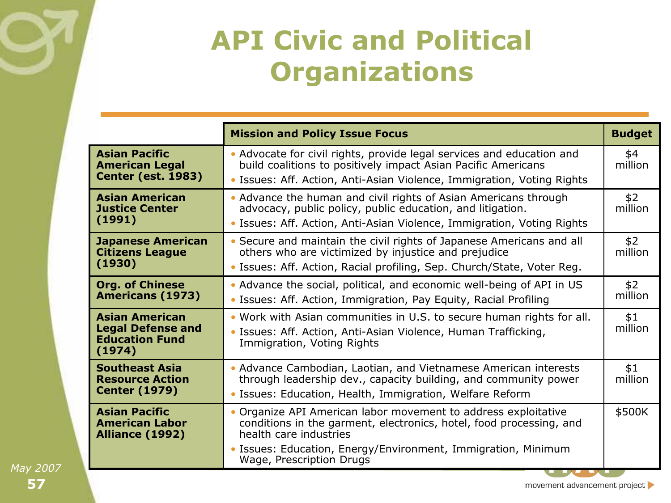#### **API Civic and Political Organizations**

|                                                                                      | <b>Mission and Policy Issue Focus</b>                                                                                                                                                                            | <b>Budget</b>  |
|--------------------------------------------------------------------------------------|------------------------------------------------------------------------------------------------------------------------------------------------------------------------------------------------------------------|----------------|
| <b>Asian Pacific</b><br><b>American Legal</b><br><b>Center (est. 1983)</b>           | • Advocate for civil rights, provide legal services and education and<br>build coalitions to positively impact Asian Pacific Americans<br>• Issues: Aff. Action, Anti-Asian Violence, Immigration, Voting Rights | \$4<br>million |
| <b>Asian American</b><br><b>Justice Center</b><br>(1991)                             | • Advance the human and civil rights of Asian Americans through<br>advocacy, public policy, public education, and litigation.<br>• Issues: Aff. Action, Anti-Asian Violence, Immigration, Voting Rights          | \$2<br>million |
| <b>Japanese American</b><br><b>Citizens League</b><br>(1930)                         | • Secure and maintain the civil rights of Japanese Americans and all<br>others who are victimized by injustice and prejudice<br>• Issues: Aff. Action, Racial profiling, Sep. Church/State, Voter Reg.           | \$2<br>million |
| <b>Org. of Chinese</b><br><b>Americans (1973)</b>                                    | • Advance the social, political, and economic well-being of API in US<br>• Issues: Aff. Action, Immigration, Pay Equity, Racial Profiling                                                                        | \$2<br>million |
| <b>Asian American</b><br><b>Legal Defense and</b><br><b>Education Fund</b><br>(1974) | . Work with Asian communities in U.S. to secure human rights for all.<br>• Issues: Aff. Action, Anti-Asian Violence, Human Trafficking,<br>Immigration, Voting Rights                                            | \$1<br>million |
| <b>Southeast Asia</b><br><b>Resource Action</b><br><b>Center (1979)</b>              | • Advance Cambodian, Laotian, and Vietnamese American interests<br>through leadership dev., capacity building, and community power<br>• Issues: Education, Health, Immigration, Welfare Reform                   | \$1<br>million |
| <b>Asian Pacific</b><br><b>American Labor</b><br><b>Alliance (1992)</b>              | • Organize API American labor movement to address exploitative<br>conditions in the garment, electronics, hotel, food processing, and<br>health care industries                                                  | \$500K         |
|                                                                                      | • Issues: Education, Energy/Environment, Immigration, Minimum<br>Wage, Prescription Drugs                                                                                                                        |                |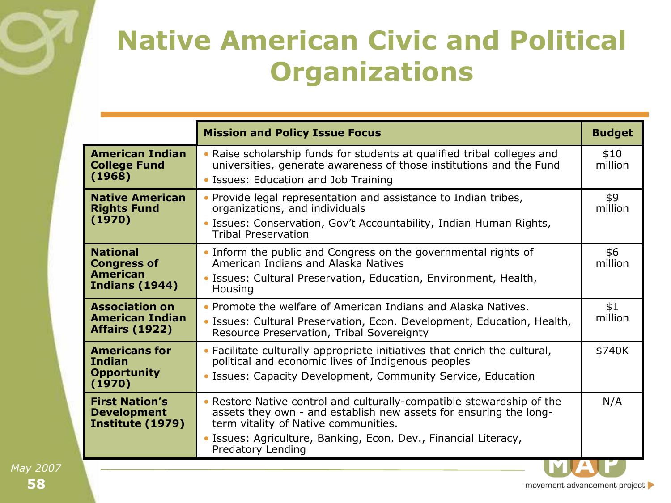#### **Native American Civic and Political Organizations**

|                                                                                   | <b>Mission and Policy Issue Focus</b>                                                                                                                                                                                                                 | <b>Budget</b>   |
|-----------------------------------------------------------------------------------|-------------------------------------------------------------------------------------------------------------------------------------------------------------------------------------------------------------------------------------------------------|-----------------|
| <b>American Indian</b><br><b>College Fund</b><br>(1968)                           | . Raise scholarship funds for students at qualified tribal colleges and<br>universities, generate awareness of those institutions and the Fund<br>• Issues: Education and Job Training                                                                | \$10<br>million |
| <b>Native American</b><br><b>Rights Fund</b><br>(1970)                            | • Provide legal representation and assistance to Indian tribes,<br>organizations, and individuals<br>• Issues: Conservation, Gov't Accountability, Indian Human Rights,<br><b>Tribal Preservation</b>                                                 | \$9<br>million  |
| <b>National</b><br><b>Congress of</b><br><b>American</b><br><b>Indians (1944)</b> | • Inform the public and Congress on the governmental rights of<br>American Indians and Alaska Natives<br>• Issues: Cultural Preservation, Education, Environment, Health,<br>Housing                                                                  | \$6<br>million  |
| <b>Association on</b><br><b>American Indian</b><br><b>Affairs (1922)</b>          | • Promote the welfare of American Indians and Alaska Natives.<br>• Issues: Cultural Preservation, Econ. Development, Education, Health,<br>Resource Preservation, Tribal Sovereignty                                                                  | \$1<br>million  |
| <b>Americans for</b><br><b>Indian</b><br><b>Opportunity</b><br>(1970)             | • Facilitate culturally appropriate initiatives that enrich the cultural,<br>political and economic lives of Indigenous peoples<br>• Issues: Capacity Development, Community Service, Education                                                       | \$740K          |
| <b>First Nation's</b><br><b>Development</b><br>Institute (1979)                   | • Restore Native control and culturally-compatible stewardship of the<br>assets they own - and establish new assets for ensuring the long-<br>term vitality of Native communities.<br>• Issues: Agriculture, Banking, Econ. Dev., Financial Literacy, | N/A             |
|                                                                                   | Predatory Lending                                                                                                                                                                                                                                     |                 |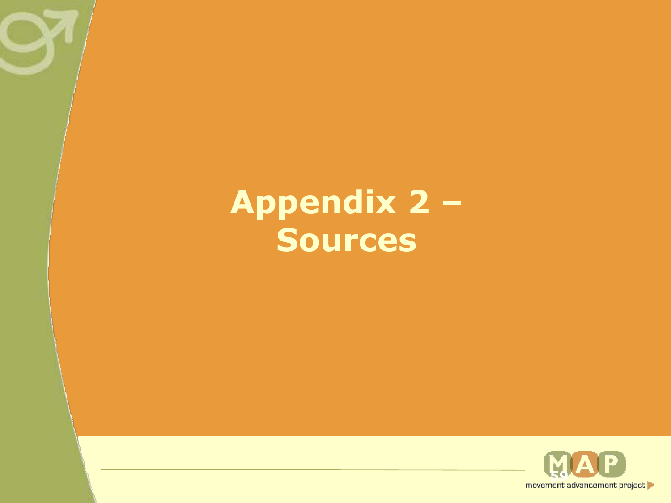# **Appendix 2 – Sources**

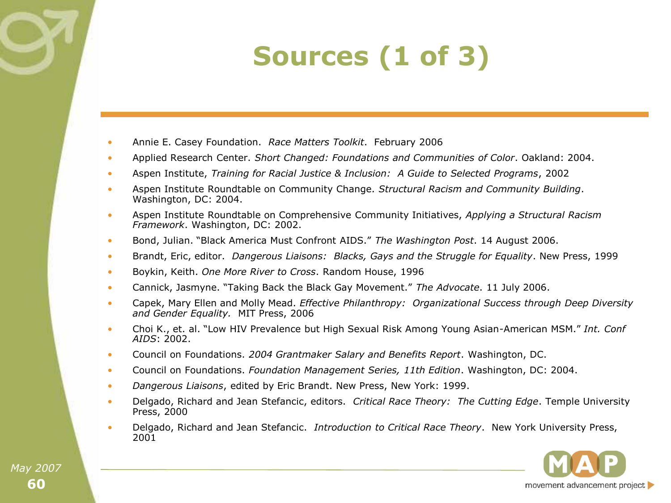# **Sources (1 of 3)**

- Annie E. Casey Foundation. *Race Matters Toolkit*. February 2006
- Applied Research Center. *Short Changed: Foundations and Communities of Color*. Oakland: 2004.
- Aspen Institute, *Training for Racial Justice & Inclusion: A Guide to Selected Programs*, 2002
- Aspen Institute Roundtable on Community Change. *Structural Racism and Community Building*. Washington, DC: 2004.
- Aspen Institute Roundtable on Comprehensive Community Initiatives, *Applying a Structural Racism Framework*. Washington, DC: 2002.
- Bond, Julian. "Black America Must Confront AIDS." The Washington Post. 14 August 2006.
- Brandt, Eric, editor. *Dangerous Liaisons: Blacks, Gays and the Struggle for Equality*. New Press, 1999
- Boykin, Keith. *One More River to Cross*. Random House, 1996
- Cannick, Jasmyne. "Taking Back the Black Gay Movement." The Advocate. 11 July 2006.
- Capek, Mary Ellen and Molly Mead. *Effective Philanthropy: Organizational Success through Deep Diversity*  and Gender Equality. MIT Press, 2006
- Choi K., et. al. "Low HIV Prevalence but High Sexual Risk Among Young Asian-American MSM." Int. Conf *AIDS*: 2002.
- Council on Foundations. *2004 Grantmaker Salary and Benefits Report*. Washington, DC.
- Council on Foundations. *Foundation Management Series, 11th Edition*. Washington, DC: 2004.
- *Dangerous Liaisons*, edited by Eric Brandt. New Press, New York: 1999.
- Delgado, Richard and Jean Stefancic, editors. *Critical Race Theory: The Cutting Edge*. Temple University Press, 2000
- Delgado, Richard and Jean Stefancic. *Introduction to Critical Race Theory*. New York University Press, 2001

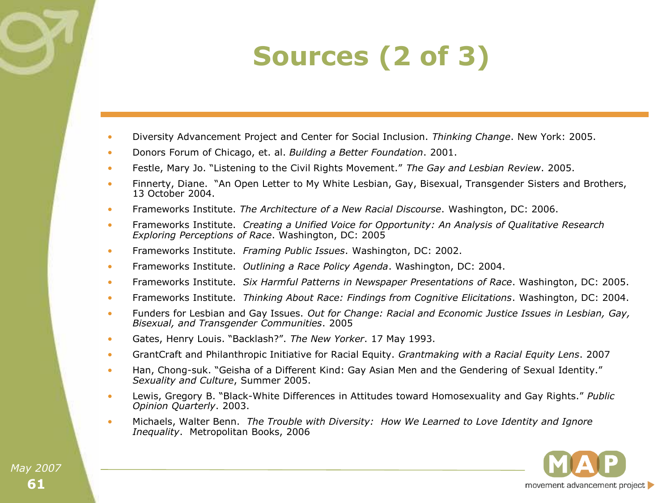# **Sources (2 of 3)**

- Diversity Advancement Project and Center for Social Inclusion. *Thinking Change*. New York: 2005.
- Donors Forum of Chicago, et. al. *Building a Better Foundation*. 2001.
- Festle, Mary Jo. "Listening to the Civil Rights Movement." The Gay and Lesbian Review. 2005.
- Finnerty, Diane. "An Open Letter to My White Lesbian, Gay, Bisexual, Transgender Sisters and Brothers, 13 October 2004.
- Frameworks Institute. *The Architecture of a New Racial Discourse*. Washington, DC: 2006.
- Frameworks Institute. *Creating a Unified Voice for Opportunity: An Analysis of Qualitative Research Exploring Perceptions of Race*. Washington, DC: 2005
- Frameworks Institute. *Framing Public Issues*. Washington, DC: 2002.
- Frameworks Institute. *Outlining a Race Policy Agenda*. Washington, DC: 2004.
- Frameworks Institute. *Six Harmful Patterns in Newspaper Presentations of Race*. Washington, DC: 2005.
- Frameworks Institute. *Thinking About Race: Findings from Cognitive Elicitations*. Washington, DC: 2004.
- Funders for Lesbian and Gay Issues. *Out for Change: Racial and Economic Justice Issues in Lesbian, Gay, Bisexual, and Transgender Communities*. 2005
- Gates, Henry Louis. "Backlash?". The New Yorker. 17 May 1993.
- GrantCraft and Philanthropic Initiative for Racial Equity. *Grantmaking with a Racial Equity Lens*. 2007
- Han, Chong-suk. "Geisha of a Different Kind: Gay Asian Men and the Gendering of Sexual Identity." *Sexuality and Culture*, Summer 2005.
- Lewis, Gregory B. "Black-White Differences in Attitudes toward Homosexuality and Gay Rights." Public *Opinion Quarterly*. 2003.
- Michaels, Walter Benn. *The Trouble with Diversity: How We Learned to Love Identity and Ignore Inequality*. Metropolitan Books, 2006

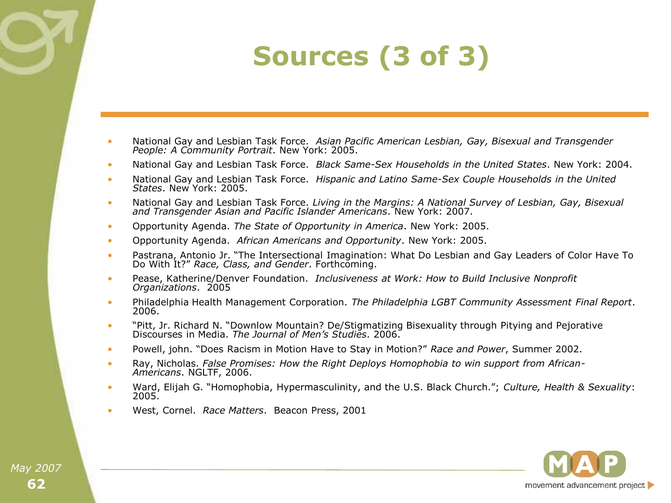# **Sources (3 of 3)**

- National Gay and Lesbian Task Force. *Asian Pacific American Lesbian, Gay, Bisexual and Transgender People: A Community Portrait*. New York: 2005.
- National Gay and Lesbian Task Force. *Black Same-Sex Households in the United States*. New York: 2004.
- National Gay and Lesbian Task Force. *Hispanic and Latino Same-Sex Couple Households in the United States*. New York: 2005.
- National Gay and Lesbian Task Force. *Living in the Margins: A National Survey of Lesbian, Gay, Bisexual and Transgender Asian and Pacific Islander Americans*. New York: 2007.
- Opportunity Agenda. *The State of Opportunity in America*. New York: 2005.
- Opportunity Agenda. *African Americans and Opportunity*. New York: 2005.
- Pastrana, Antonio Jr. "The Intersectional Imagination: What Do Lesbian and Gay Leaders of Color Have To Do With It?‖ *Race, Class, and Gender*. Forthcoming.
- Pease, Katherine/Denver Foundation. *Inclusiveness at Work: How to Build Inclusive Nonprofit Organizations*. 2005
- Philadelphia Health Management Corporation. *The Philadelphia LGBT Community Assessment Final Report*. 2006.
- "Pitt, Jr. Richard N. "Downlow Mountain? De/Stigmatizing Bisexuality through Pitying and Pejorative Discourses in Media. *The Journal of Men's Studies*. 2006.
- Powell, john. "Does Racism in Motion Have to Stay in Motion?" Race and Power, Summer 2002.
- Ray, Nicholas. *False Promises: How the Right Deploys Homophobia to win support from African-Americans*. NGLTF, 2006.
- Ward, Elijah G. "Homophobia, Hypermasculinity, and the U.S. Black Church."; *Culture, Health & Sexuality*: 2005.
- West, Cornel. *Race Matters*. Beacon Press, 2001